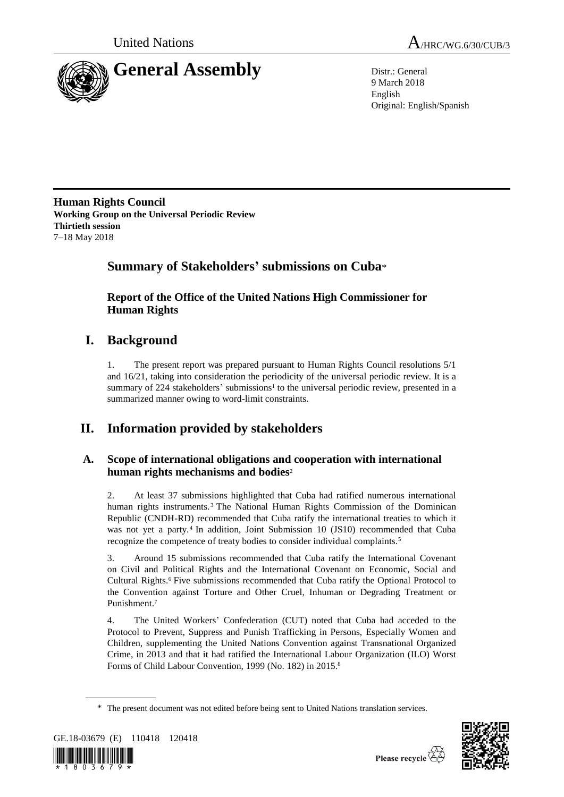



9 March 2018 English Original: English/Spanish

**Human Rights Council Working Group on the Universal Periodic Review Thirtieth session** 7–18 May 2018

# **Summary of Stakeholders' submissions on Cuba**\*

**Report of the Office of the United Nations High Commissioner for Human Rights**

# **I. Background**

1. The present report was prepared pursuant to Human Rights Council resolutions 5/1 and 16/21, taking into consideration the periodicity of the universal periodic review. It is a summary of 224 stakeholders' submissions<sup>1</sup> to the universal periodic review, presented in a summarized manner owing to word-limit constraints.

# **II. Information provided by stakeholders**

# **A. Scope of international obligations and cooperation with international human rights mechanisms and bodies**<sup>2</sup>

2. At least 37 submissions highlighted that Cuba had ratified numerous international human rights instruments. <sup>3</sup> The National Human Rights Commission of the Dominican Republic (CNDH-RD) recommended that Cuba ratify the international treaties to which it was not yet a party.<sup>4</sup> In addition, Joint Submission 10 (JS10) recommended that Cuba recognize the competence of treaty bodies to consider individual complaints.<sup>5</sup>

3. Around 15 submissions recommended that Cuba ratify the International Covenant on Civil and Political Rights and the International Covenant on Economic, Social and Cultural Rights.<sup>6</sup> Five submissions recommended that Cuba ratify the Optional Protocol to the Convention against Torture and Other Cruel, Inhuman or Degrading Treatment or Punishment.<sup>7</sup>

4. The United Workers' Confederation (CUT) noted that Cuba had acceded to the Protocol to Prevent, Suppress and Punish Trafficking in Persons, Especially Women and Children, supplementing the United Nations Convention against Transnational Organized Crime, in 2013 and that it had ratified the International Labour Organization (ILO) Worst Forms of Child Labour Convention, 1999 (No. 182) in 2015.<sup>8</sup>

<sup>\*</sup> The present document was not edited before being sent to United Nations translation services.



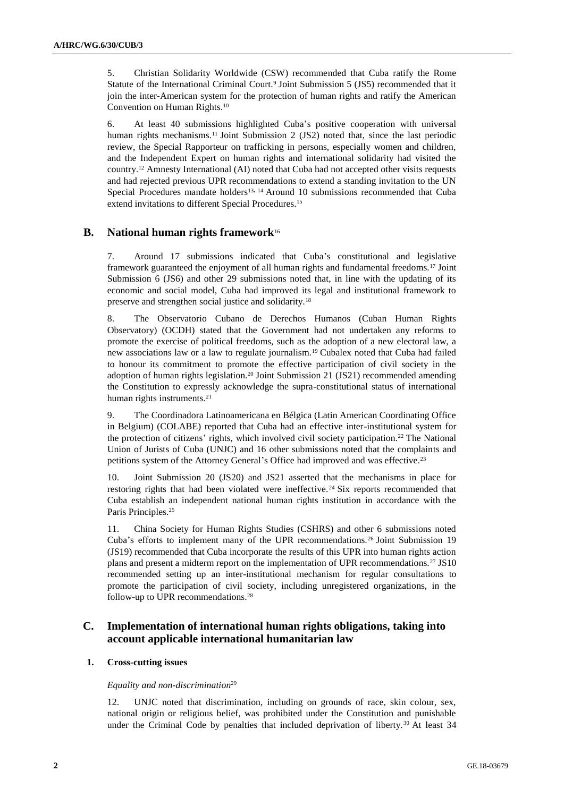5. Christian Solidarity Worldwide (CSW) recommended that Cuba ratify the Rome Statute of the International Criminal Court.<sup>9</sup> Joint Submission 5 (JS5) recommended that it join the inter-American system for the protection of human rights and ratify the American Convention on Human Rights.<sup>10</sup>

6. At least 40 submissions highlighted Cuba's positive cooperation with universal human rights mechanisms.<sup>11</sup> Joint Submission 2 (JS2) noted that, since the last periodic review, the Special Rapporteur on trafficking in persons, especially women and children, and the Independent Expert on human rights and international solidarity had visited the country.<sup>12</sup> Amnesty International (AI) noted that Cuba had not accepted other visits requests and had rejected previous UPR recommendations to extend a standing invitation to the UN Special Procedures mandate holders<sup>13, 14</sup> Around 10 submissions recommended that Cuba extend invitations to different Special Procedures.<sup>15</sup>

# **B. National human rights framework**<sup>16</sup>

7. Around 17 submissions indicated that Cuba's constitutional and legislative framework guaranteed the enjoyment of all human rights and fundamental freedoms.<sup>17</sup> Joint Submission 6 (JS6) and other 29 submissions noted that, in line with the updating of its economic and social model, Cuba had improved its legal and institutional framework to preserve and strengthen social justice and solidarity.<sup>18</sup>

8. The Observatorio Cubano de Derechos Humanos (Cuban Human Rights Observatory) (OCDH) stated that the Government had not undertaken any reforms to promote the exercise of political freedoms, such as the adoption of a new electoral law, a new associations law or a law to regulate journalism.<sup>19</sup> Cubalex noted that Cuba had failed to honour its commitment to promote the effective participation of civil society in the adoption of human rights legislation.<sup>20</sup> Joint Submission 21 (JS21) recommended amending the Constitution to expressly acknowledge the supra-constitutional status of international human rights instruments.<sup>21</sup>

9. The Coordinadora Latinoamericana en Bélgica (Latin American Coordinating Office in Belgium) (COLABE) reported that Cuba had an effective inter-institutional system for the protection of citizens' rights, which involved civil society participation.<sup>22</sup> The National Union of Jurists of Cuba (UNJC) and 16 other submissions noted that the complaints and petitions system of the Attorney General's Office had improved and was effective.<sup>23</sup>

10. Joint Submission 20 (JS20) and JS21 asserted that the mechanisms in place for restoring rights that had been violated were ineffective.<sup>24</sup> Six reports recommended that Cuba establish an independent national human rights institution in accordance with the Paris Principles.<sup>25</sup>

11. China Society for Human Rights Studies (CSHRS) and other 6 submissions noted Cuba's efforts to implement many of the UPR recommendations.<sup>26</sup> Joint Submission 19 (JS19) recommended that Cuba incorporate the results of this UPR into human rights action plans and present a midterm report on the implementation of UPR recommendations.<sup>27</sup> JS10 recommended setting up an inter-institutional mechanism for regular consultations to promote the participation of civil society, including unregistered organizations, in the follow-up to UPR recommendations.<sup>28</sup>

# **C. Implementation of international human rights obligations, taking into account applicable international humanitarian law**

## **1. Cross-cutting issues**

## *Equality and non-discrimination*<sup>29</sup>

12. UNJC noted that discrimination, including on grounds of race, skin colour, sex, national origin or religious belief, was prohibited under the Constitution and punishable under the Criminal Code by penalties that included deprivation of liberty.<sup>30</sup> At least 34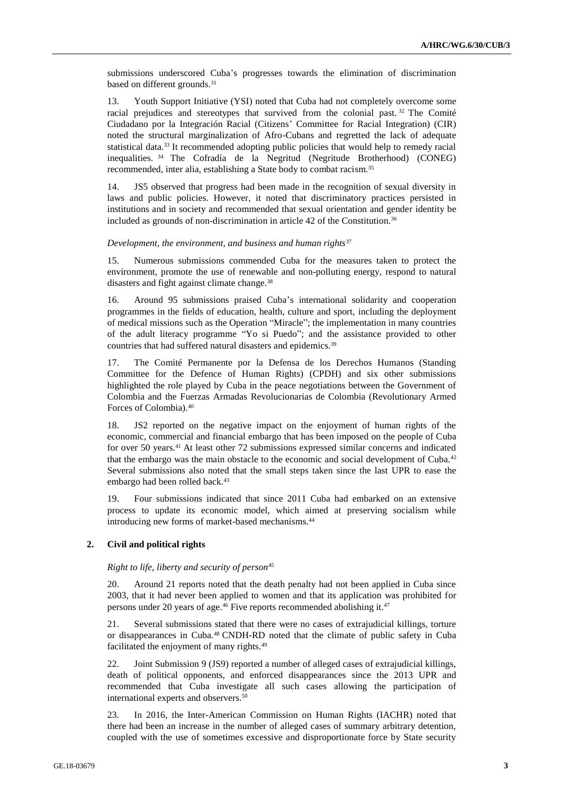submissions underscored Cuba's progresses towards the elimination of discrimination based on different grounds.<sup>31</sup>

13. Youth Support Initiative (YSI) noted that Cuba had not completely overcome some racial prejudices and stereotypes that survived from the colonial past. <sup>32</sup> The Comité Ciudadano por la Integración Racial (Citizens' Committee for Racial Integration) (CIR) noted the structural marginalization of Afro-Cubans and regretted the lack of adequate statistical data.<sup>33</sup> It recommended adopting public policies that would help to remedy racial inequalities. <sup>34</sup> The Cofradía de la Negritud (Negritude Brotherhood) (CONEG) recommended, inter alia, establishing a State body to combat racism.<sup>35</sup>

14. JS5 observed that progress had been made in the recognition of sexual diversity in laws and public policies. However, it noted that discriminatory practices persisted in institutions and in society and recommended that sexual orientation and gender identity be included as grounds of non-discrimination in article 42 of the Constitution.<sup>36</sup>

#### *Development, the environment, and business and human rights*<sup>37</sup>

15. Numerous submissions commended Cuba for the measures taken to protect the environment, promote the use of renewable and non-polluting energy, respond to natural disasters and fight against climate change.<sup>38</sup>

16. Around 95 submissions praised Cuba's international solidarity and cooperation programmes in the fields of education, health, culture and sport, including the deployment of medical missions such as the Operation "Miracle"; the implementation in many countries of the adult literacy programme "Yo si Puedo"; and the assistance provided to other countries that had suffered natural disasters and epidemics.<sup>39</sup>

17. The Comité Permanente por la Defensa de los Derechos Humanos (Standing Committee for the Defence of Human Rights) (CPDH) and six other submissions highlighted the role played by Cuba in the peace negotiations between the Government of Colombia and the Fuerzas Armadas Revolucionarias de Colombia (Revolutionary Armed Forces of Colombia).<sup>40</sup>

18. JS2 reported on the negative impact on the enjoyment of human rights of the economic, commercial and financial embargo that has been imposed on the people of Cuba for over 50 years.<sup>41</sup> At least other 72 submissions expressed similar concerns and indicated that the embargo was the main obstacle to the economic and social development of Cuba.<sup>42</sup> Several submissions also noted that the small steps taken since the last UPR to ease the embargo had been rolled back.<sup>43</sup>

19. Four submissions indicated that since 2011 Cuba had embarked on an extensive process to update its economic model, which aimed at preserving socialism while introducing new forms of market-based mechanisms. 44

### **2. Civil and political rights**

#### *Right to life, liberty and security of person*<sup>45</sup>

20. Around 21 reports noted that the death penalty had not been applied in Cuba since 2003, that it had never been applied to women and that its application was prohibited for persons under 20 years of age.<sup>46</sup> Five reports recommended abolishing it.<sup>47</sup>

21. Several submissions stated that there were no cases of extrajudicial killings, torture or disappearances in Cuba.<sup>48</sup> CNDH-RD noted that the climate of public safety in Cuba facilitated the enjoyment of many rights.<sup>49</sup>

22. Joint Submission 9 (JS9) reported a number of alleged cases of extrajudicial killings, death of political opponents, and enforced disappearances since the 2013 UPR and recommended that Cuba investigate all such cases allowing the participation of international experts and observers.<sup>50</sup>

23. In 2016, the Inter-American Commission on Human Rights (IACHR) noted that there had been an increase in the number of alleged cases of summary arbitrary detention, coupled with the use of sometimes excessive and disproportionate force by State security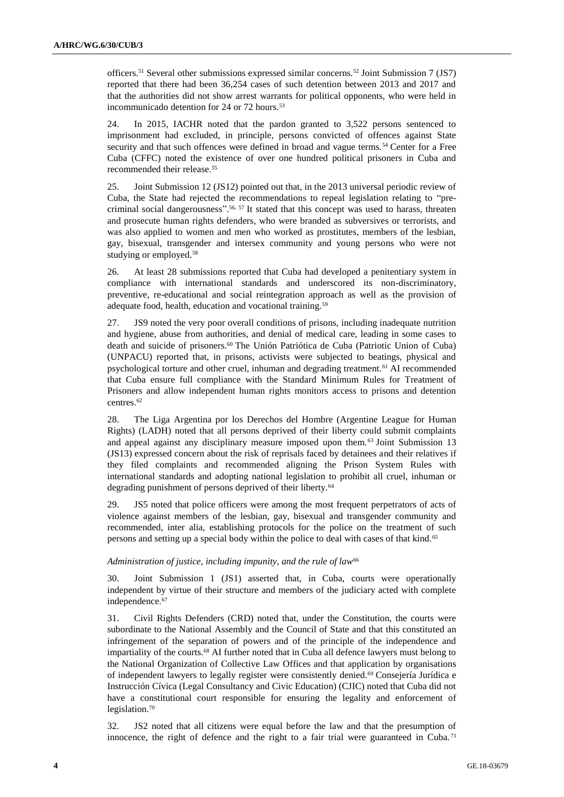officers.<sup>51</sup> Several other submissions expressed similar concerns.<sup>52</sup> Joint Submission 7 (JS7) reported that there had been 36,254 cases of such detention between 2013 and 2017 and that the authorities did not show arrest warrants for political opponents, who were held in incommunicado detention for 24 or 72 hours.<sup>53</sup>

24. In 2015, IACHR noted that the pardon granted to 3,522 persons sentenced to imprisonment had excluded, in principle, persons convicted of offences against State security and that such offences were defined in broad and vague terms.<sup>54</sup> Center for a Free Cuba (CFFC) noted the existence of over one hundred political prisoners in Cuba and recommended their release.<sup>55</sup>

25. Joint Submission 12 (JS12) pointed out that, in the 2013 universal periodic review of Cuba, the State had rejected the recommendations to repeal legislation relating to "precriminal social dangerousness".<sup>56, 57</sup> It stated that this concept was used to harass, threaten and prosecute human rights defenders, who were branded as subversives or terrorists, and was also applied to women and men who worked as prostitutes, members of the lesbian, gay, bisexual, transgender and intersex community and young persons who were not studying or employed.<sup>58</sup>

26. At least 28 submissions reported that Cuba had developed a penitentiary system in compliance with international standards and underscored its non-discriminatory, preventive, re-educational and social reintegration approach as well as the provision of adequate food, health, education and vocational training.<sup>59</sup>

27. JS9 noted the very poor overall conditions of prisons, including inadequate nutrition and hygiene, abuse from authorities, and denial of medical care, leading in some cases to death and suicide of prisoners.<sup>60</sup> The Unión Patriótica de Cuba (Patriotic Union of Cuba) (UNPACU) reported that, in prisons, activists were subjected to beatings, physical and psychological torture and other cruel, inhuman and degrading treatment.<sup>61</sup> AI recommended that Cuba ensure full compliance with the Standard Minimum Rules for Treatment of Prisoners and allow independent human rights monitors access to prisons and detention centres.<sup>62</sup>

28. The Liga Argentina por los Derechos del Hombre (Argentine League for Human Rights) (LADH) noted that all persons deprived of their liberty could submit complaints and appeal against any disciplinary measure imposed upon them. <sup>63</sup> Joint Submission 13 (JS13) expressed concern about the risk of reprisals faced by detainees and their relatives if they filed complaints and recommended aligning the Prison System Rules with international standards and adopting national legislation to prohibit all cruel, inhuman or degrading punishment of persons deprived of their liberty.<sup>64</sup>

29. JS5 noted that police officers were among the most frequent perpetrators of acts of violence against members of the lesbian, gay, bisexual and transgender community and recommended, inter alia, establishing protocols for the police on the treatment of such persons and setting up a special body within the police to deal with cases of that kind.<sup>65</sup>

#### *Administration of justice, including impunity, and the rule of law*<sup>66</sup>

30. Joint Submission 1 (JS1) asserted that, in Cuba, courts were operationally independent by virtue of their structure and members of the judiciary acted with complete independence.<sup>67</sup>

31. Civil Rights Defenders (CRD) noted that, under the Constitution, the courts were subordinate to the National Assembly and the Council of State and that this constituted an infringement of the separation of powers and of the principle of the independence and impartiality of the courts.<sup>68</sup> AI further noted that in Cuba all defence lawyers must belong to the National Organization of Collective Law Offices and that application by organisations of independent lawyers to legally register were consistently denied.<sup>69</sup> Consejería Jurídica e Instrucción Cívica (Legal Consultancy and Civic Education) (CJIC) noted that Cuba did not have a constitutional court responsible for ensuring the legality and enforcement of legislation.<sup>70</sup>

32. JS2 noted that all citizens were equal before the law and that the presumption of innocence, the right of defence and the right to a fair trial were guaranteed in Cuba.<sup>71</sup>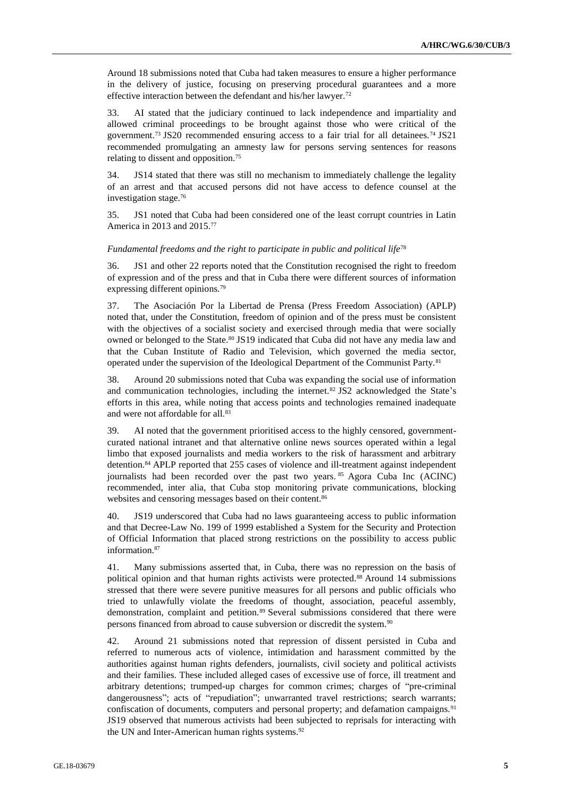Around 18 submissions noted that Cuba had taken measures to ensure a higher performance in the delivery of justice, focusing on preserving procedural guarantees and a more effective interaction between the defendant and his/her lawyer.<sup>72</sup>

33. AI stated that the judiciary continued to lack independence and impartiality and allowed criminal proceedings to be brought against those who were critical of the government.<sup>73</sup> JS20 recommended ensuring access to a fair trial for all detainees.<sup>74</sup> JS21 recommended promulgating an amnesty law for persons serving sentences for reasons relating to dissent and opposition.<sup>75</sup>

34. JS14 stated that there was still no mechanism to immediately challenge the legality of an arrest and that accused persons did not have access to defence counsel at the investigation stage.<sup>76</sup>

35. JS1 noted that Cuba had been considered one of the least corrupt countries in Latin America in 2013 and 2015.<sup>77</sup>

#### *Fundamental freedoms and the right to participate in public and political life*<sup>78</sup>

36. JS1 and other 22 reports noted that the Constitution recognised the right to freedom of expression and of the press and that in Cuba there were different sources of information expressing different opinions.<sup>79</sup>

37. The Asociación Por la Libertad de Prensa (Press Freedom Association) (APLP) noted that, under the Constitution, freedom of opinion and of the press must be consistent with the objectives of a socialist society and exercised through media that were socially owned or belonged to the State.<sup>80</sup> JS19 indicated that Cuba did not have any media law and that the Cuban Institute of Radio and Television, which governed the media sector, operated under the supervision of the Ideological Department of the Communist Party.<sup>81</sup>

38. Around 20 submissions noted that Cuba was expanding the social use of information and communication technologies, including the internet.<sup>82</sup> JS2 acknowledged the State's efforts in this area, while noting that access points and technologies remained inadequate and were not affordable for all.<sup>83</sup>

39. AI noted that the government prioritised access to the highly censored, governmentcurated national intranet and that alternative online news sources operated within a legal limbo that exposed journalists and media workers to the risk of harassment and arbitrary detention.<sup>84</sup> APLP reported that 255 cases of violence and ill-treatment against independent journalists had been recorded over the past two years. <sup>85</sup> Agora Cuba Inc (ACINC) recommended, inter alia, that Cuba stop monitoring private communications, blocking websites and censoring messages based on their content.<sup>86</sup>

40. JS19 underscored that Cuba had no laws guaranteeing access to public information and that Decree-Law No. 199 of 1999 established a System for the Security and Protection of Official Information that placed strong restrictions on the possibility to access public information.<sup>87</sup>

41. Many submissions asserted that, in Cuba, there was no repression on the basis of political opinion and that human rights activists were protected.<sup>88</sup> Around 14 submissions stressed that there were severe punitive measures for all persons and public officials who tried to unlawfully violate the freedoms of thought, association, peaceful assembly, demonstration, complaint and petition.<sup>89</sup> Several submissions considered that there were persons financed from abroad to cause subversion or discredit the system.<sup>90</sup>

42. Around 21 submissions noted that repression of dissent persisted in Cuba and referred to numerous acts of violence, intimidation and harassment committed by the authorities against human rights defenders, journalists, civil society and political activists and their families. These included alleged cases of excessive use of force, ill treatment and arbitrary detentions; trumped-up charges for common crimes; charges of "pre-criminal dangerousness"; acts of "repudiation"; unwarranted travel restrictions; search warrants; confiscation of documents, computers and personal property; and defamation campaigns.<sup>91</sup> JS19 observed that numerous activists had been subjected to reprisals for interacting with the UN and Inter-American human rights systems.<sup>92</sup>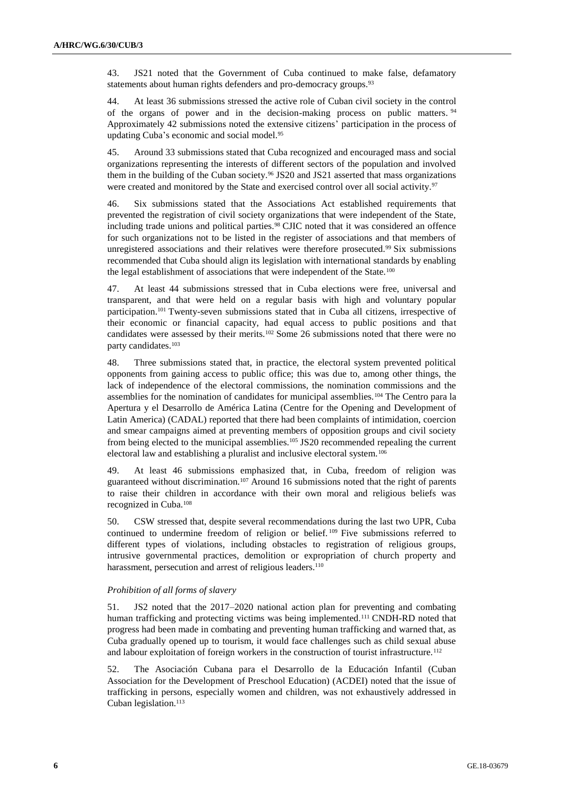43. JS21 noted that the Government of Cuba continued to make false, defamatory statements about human rights defenders and pro-democracy groups.<sup>93</sup>

44. At least 36 submissions stressed the active role of Cuban civil society in the control of the organs of power and in the decision-making process on public matters. <sup>94</sup> Approximately 42 submissions noted the extensive citizens' participation in the process of updating Cuba's economic and social model.<sup>95</sup>

45. Around 33 submissions stated that Cuba recognized and encouraged mass and social organizations representing the interests of different sectors of the population and involved them in the building of the Cuban society.<sup>96</sup> JS20 and JS21 asserted that mass organizations were created and monitored by the State and exercised control over all social activity.<sup>97</sup>

46. Six submissions stated that the Associations Act established requirements that prevented the registration of civil society organizations that were independent of the State, including trade unions and political parties.<sup>98</sup> CJIC noted that it was considered an offence for such organizations not to be listed in the register of associations and that members of unregistered associations and their relatives were therefore prosecuted.<sup>99</sup> Six submissions recommended that Cuba should align its legislation with international standards by enabling the legal establishment of associations that were independent of the State.<sup>100</sup>

47. At least 44 submissions stressed that in Cuba elections were free, universal and transparent, and that were held on a regular basis with high and voluntary popular participation.<sup>101</sup> Twenty-seven submissions stated that in Cuba all citizens, irrespective of their economic or financial capacity, had equal access to public positions and that candidates were assessed by their merits.<sup>102</sup> Some 26 submissions noted that there were no party candidates.<sup>103</sup>

48. Three submissions stated that, in practice, the electoral system prevented political opponents from gaining access to public office; this was due to, among other things, the lack of independence of the electoral commissions, the nomination commissions and the assemblies for the nomination of candidates for municipal assemblies.<sup>104</sup> The Centro para la Apertura y el Desarrollo de América Latina (Centre for the Opening and Development of Latin America) (CADAL) reported that there had been complaints of intimidation, coercion and smear campaigns aimed at preventing members of opposition groups and civil society from being elected to the municipal assemblies.<sup>105</sup> JS20 recommended repealing the current electoral law and establishing a pluralist and inclusive electoral system.<sup>106</sup>

49. At least 46 submissions emphasized that, in Cuba, freedom of religion was guaranteed without discrimination.<sup>107</sup> Around 16 submissions noted that the right of parents to raise their children in accordance with their own moral and religious beliefs was recognized in Cuba.<sup>108</sup>

50. CSW stressed that, despite several recommendations during the last two UPR, Cuba continued to undermine freedom of religion or belief. <sup>109</sup> Five submissions referred to different types of violations, including obstacles to registration of religious groups, intrusive governmental practices, demolition or expropriation of church property and harassment, persecution and arrest of religious leaders.<sup>110</sup>

### *Prohibition of all forms of slavery*

51. JS2 noted that the 2017–2020 national action plan for preventing and combating human trafficking and protecting victims was being implemented.<sup>111</sup> CNDH-RD noted that progress had been made in combating and preventing human trafficking and warned that, as Cuba gradually opened up to tourism, it would face challenges such as child sexual abuse and labour exploitation of foreign workers in the construction of tourist infrastructure.<sup>112</sup>

52. The Asociación Cubana para el Desarrollo de la Educación Infantil (Cuban Association for the Development of Preschool Education) (ACDEI) noted that the issue of trafficking in persons, especially women and children, was not exhaustively addressed in Cuban legislation.<sup>113</sup>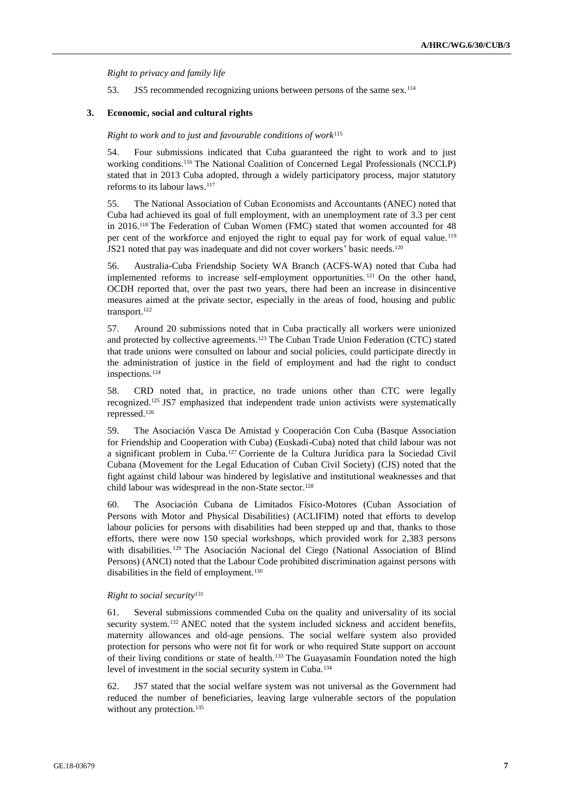*Right to privacy and family life*

53. JS5 recommended recognizing unions between persons of the same sex.<sup>114</sup>

# **3. Economic, social and cultural rights**

#### *Right to work and to just and favourable conditions of work*<sup>115</sup>

54. Four submissions indicated that Cuba guaranteed the right to work and to just working conditions.<sup>116</sup> The National Coalition of Concerned Legal Professionals (NCCLP) stated that in 2013 Cuba adopted, through a widely participatory process, major statutory reforms to its labour laws.<sup>117</sup>

55. The National Association of Cuban Economists and Accountants (ANEC) noted that Cuba had achieved its goal of full employment, with an unemployment rate of 3.3 per cent in 2016.<sup>118</sup> The Federation of Cuban Women (FMC) stated that women accounted for 48 per cent of the workforce and enjoyed the right to equal pay for work of equal value.<sup>119</sup> JS21 noted that pay was inadequate and did not cover workers' basic needs.<sup>120</sup>

56. Australia-Cuba Friendship Society WA Branch (ACFS-WA) noted that Cuba had implemented reforms to increase self-employment opportunities. <sup>121</sup> On the other hand, OCDH reported that, over the past two years, there had been an increase in disincentive measures aimed at the private sector, especially in the areas of food, housing and public transport.<sup>122</sup>

57. Around 20 submissions noted that in Cuba practically all workers were unionized and protected by collective agreements.<sup>123</sup> The Cuban Trade Union Federation (CTC) stated that trade unions were consulted on labour and social policies, could participate directly in the administration of justice in the field of employment and had the right to conduct inspections.<sup>124</sup>

58. CRD noted that, in practice, no trade unions other than CTC were legally recognized.<sup>125</sup> JS7 emphasized that independent trade union activists were systematically repressed.<sup>126</sup>

59. The Asociación Vasca De Amistad y Cooperación Con Cuba (Basque Association for Friendship and Cooperation with Cuba) (Euskadi-Cuba) noted that child labour was not a significant problem in Cuba.<sup>127</sup> Corriente de la Cultura Jurídica para la Sociedad Civil Cubana (Movement for the Legal Education of Cuban Civil Society) (CJS) noted that the fight against child labour was hindered by legislative and institutional weaknesses and that child labour was widespread in the non-State sector.<sup>128</sup>

60. The Asociación Cubana de Limitados Físico-Motores (Cuban Association of Persons with Motor and Physical Disabilities) (ACLIFIM) noted that efforts to develop labour policies for persons with disabilities had been stepped up and that, thanks to those efforts, there were now 150 special workshops, which provided work for 2,383 persons with disabilities. <sup>129</sup> The Asociación Nacional del Ciego (National Association of Blind Persons) (ANCI) noted that the Labour Code prohibited discrimination against persons with disabilities in the field of employment.<sup>130</sup>

#### *Right to social security*<sup>131</sup>

61. Several submissions commended Cuba on the quality and universality of its social security system.<sup>132</sup> ANEC noted that the system included sickness and accident benefits, maternity allowances and old-age pensions. The social welfare system also provided protection for persons who were not fit for work or who required State support on account of their living conditions or state of health.<sup>133</sup> The Guayasamín Foundation noted the high level of investment in the social security system in Cuba.<sup>134</sup>

62. JS7 stated that the social welfare system was not universal as the Government had reduced the number of beneficiaries, leaving large vulnerable sectors of the population without any protection.<sup>135</sup>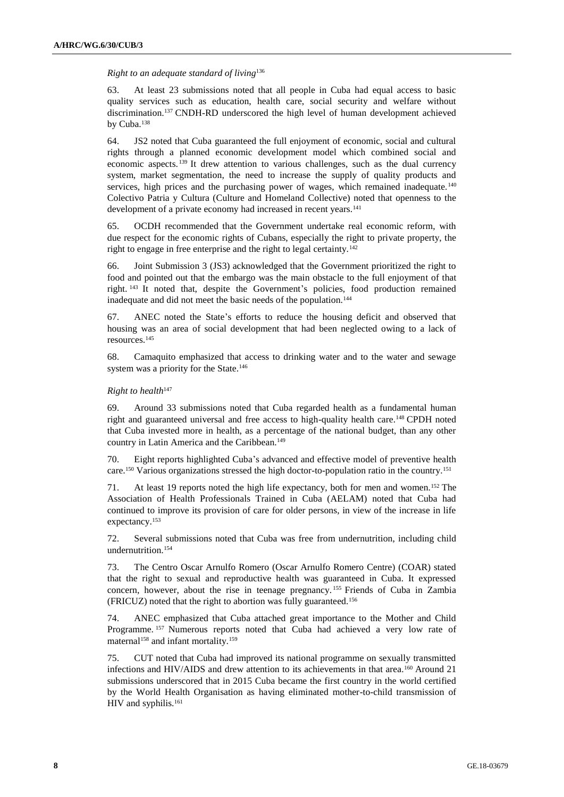*Right to an adequate standard of living*<sup>136</sup>

63. At least 23 submissions noted that all people in Cuba had equal access to basic quality services such as education, health care, social security and welfare without discrimination.<sup>137</sup> CNDH-RD underscored the high level of human development achieved by Cuba.<sup>138</sup>

64. JS2 noted that Cuba guaranteed the full enjoyment of economic, social and cultural rights through a planned economic development model which combined social and economic aspects. <sup>139</sup> It drew attention to various challenges, such as the dual currency system, market segmentation, the need to increase the supply of quality products and services, high prices and the purchasing power of wages, which remained inadequate.<sup>140</sup> Colectivo Patria y Cultura (Culture and Homeland Collective) noted that openness to the development of a private economy had increased in recent years.<sup>141</sup>

65. OCDH recommended that the Government undertake real economic reform, with due respect for the economic rights of Cubans, especially the right to private property, the right to engage in free enterprise and the right to legal certainty.<sup>142</sup>

66. Joint Submission 3 (JS3) acknowledged that the Government prioritized the right to food and pointed out that the embargo was the main obstacle to the full enjoyment of that right. <sup>143</sup> It noted that, despite the Government's policies, food production remained inadequate and did not meet the basic needs of the population.<sup>144</sup>

67. ANEC noted the State's efforts to reduce the housing deficit and observed that housing was an area of social development that had been neglected owing to a lack of resources.<sup>145</sup>

68. Camaquito emphasized that access to drinking water and to the water and sewage system was a priority for the State.<sup>146</sup>

## *Right to health*<sup>147</sup>

69. Around 33 submissions noted that Cuba regarded health as a fundamental human right and guaranteed universal and free access to high-quality health care.<sup>148</sup> CPDH noted that Cuba invested more in health, as a percentage of the national budget, than any other country in Latin America and the Caribbean.<sup>149</sup>

70. Eight reports highlighted Cuba's advanced and effective model of preventive health care.<sup>150</sup> Various organizations stressed the high doctor-to-population ratio in the country.<sup>151</sup>

71. At least 19 reports noted the high life expectancy, both for men and women.<sup>152</sup> The Association of Health Professionals Trained in Cuba (AELAM) noted that Cuba had continued to improve its provision of care for older persons, in view of the increase in life expectancy.<sup>153</sup>

72. Several submissions noted that Cuba was free from undernutrition, including child undernutrition.<sup>154</sup>

73. The Centro Oscar Arnulfo Romero (Oscar Arnulfo Romero Centre) (COAR) stated that the right to sexual and reproductive health was guaranteed in Cuba. It expressed concern, however, about the rise in teenage pregnancy. <sup>155</sup> Friends of Cuba in Zambia (FRICUZ) noted that the right to abortion was fully guaranteed.<sup>156</sup>

74. ANEC emphasized that Cuba attached great importance to the Mother and Child Programme. <sup>157</sup> Numerous reports noted that Cuba had achieved a very low rate of maternal<sup>158</sup> and infant mortality.<sup>159</sup>

75. CUT noted that Cuba had improved its national programme on sexually transmitted infections and HIV/AIDS and drew attention to its achievements in that area.<sup>160</sup> Around 21 submissions underscored that in 2015 Cuba became the first country in the world certified by the World Health Organisation as having eliminated mother-to-child transmission of HIV and syphilis.<sup>161</sup>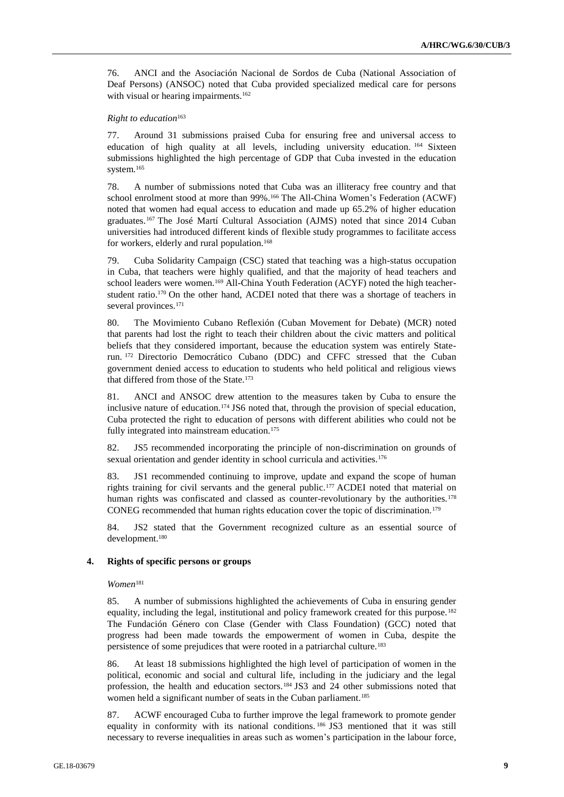76. ANCI and the Asociación Nacional de Sordos de Cuba (National Association of Deaf Persons) (ANSOC) noted that Cuba provided specialized medical care for persons with visual or hearing impairments.<sup>162</sup>

#### *Right to education*<sup>163</sup>

77. Around 31 submissions praised Cuba for ensuring free and universal access to education of high quality at all levels, including university education. <sup>164</sup> Sixteen submissions highlighted the high percentage of GDP that Cuba invested in the education system.<sup>165</sup>

78. A number of submissions noted that Cuba was an illiteracy free country and that school enrolment stood at more than 99%.<sup>166</sup> The All-China Women's Federation (ACWF) noted that women had equal access to education and made up 65.2% of higher education graduates.<sup>167</sup> The José Martí Cultural Association (AJMS) noted that since 2014 Cuban universities had introduced different kinds of flexible study programmes to facilitate access for workers, elderly and rural population.<sup>168</sup>

79. Cuba Solidarity Campaign (CSC) stated that teaching was a high-status occupation in Cuba, that teachers were highly qualified, and that the majority of head teachers and school leaders were women.<sup>169</sup> All-China Youth Federation (ACYF) noted the high teacherstudent ratio.<sup>170</sup> On the other hand, ACDEI noted that there was a shortage of teachers in several provinces.<sup>171</sup>

80. The Movimiento Cubano Reflexión (Cuban Movement for Debate) (MCR) noted that parents had lost the right to teach their children about the civic matters and political beliefs that they considered important, because the education system was entirely Staterun. <sup>172</sup> Directorio Democrático Cubano (DDC) and CFFC stressed that the Cuban government denied access to education to students who held political and religious views that differed from those of the State.<sup>173</sup>

81. ANCI and ANSOC drew attention to the measures taken by Cuba to ensure the inclusive nature of education.<sup>174</sup> JS6 noted that, through the provision of special education, Cuba protected the right to education of persons with different abilities who could not be fully integrated into mainstream education.<sup>175</sup>

82. JS5 recommended incorporating the principle of non-discrimination on grounds of sexual orientation and gender identity in school curricula and activities.<sup>176</sup>

83. JS1 recommended continuing to improve, update and expand the scope of human rights training for civil servants and the general public.<sup>177</sup> ACDEI noted that material on human rights was confiscated and classed as counter-revolutionary by the authorities.<sup>178</sup> CONEG recommended that human rights education cover the topic of discrimination.<sup>179</sup>

84. JS2 stated that the Government recognized culture as an essential source of development.<sup>180</sup>

#### **4. Rights of specific persons or groups**

*Women*<sup>181</sup>

85. A number of submissions highlighted the achievements of Cuba in ensuring gender equality, including the legal, institutional and policy framework created for this purpose.<sup>182</sup> The Fundación Género con Clase (Gender with Class Foundation) (GCC) noted that progress had been made towards the empowerment of women in Cuba, despite the persistence of some prejudices that were rooted in a patriarchal culture.<sup>183</sup>

86. At least 18 submissions highlighted the high level of participation of women in the political, economic and social and cultural life, including in the judiciary and the legal profession, the health and education sectors.<sup>184</sup> JS3 and 24 other submissions noted that women held a significant number of seats in the Cuban parliament.<sup>185</sup>

87. ACWF encouraged Cuba to further improve the legal framework to promote gender equality in conformity with its national conditions. <sup>186</sup> JS3 mentioned that it was still necessary to reverse inequalities in areas such as women's participation in the labour force,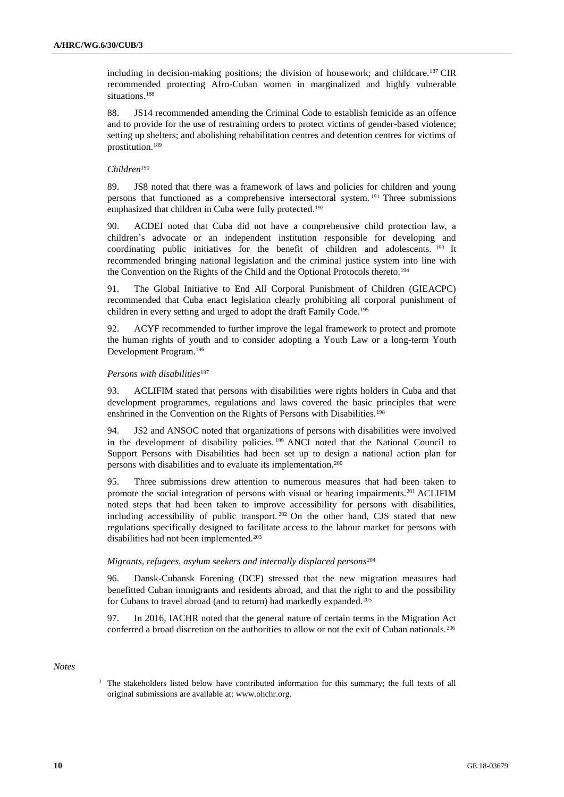including in decision-making positions; the division of housework; and childcare.<sup>187</sup> CIR recommended protecting Afro-Cuban women in marginalized and highly vulnerable situations.<sup>188</sup>

88. JS14 recommended amending the Criminal Code to establish femicide as an offence and to provide for the use of restraining orders to protect victims of gender-based violence; setting up shelters; and abolishing rehabilitation centres and detention centres for victims of prostitution.<sup>189</sup>

#### *Children*<sup>190</sup>

89. JS8 noted that there was a framework of laws and policies for children and young persons that functioned as a comprehensive intersectoral system. <sup>191</sup> Three submissions emphasized that children in Cuba were fully protected.<sup>192</sup>

90. ACDEI noted that Cuba did not have a comprehensive child protection law, a children's advocate or an independent institution responsible for developing and coordinating public initiatives for the benefit of children and adolescents. <sup>193</sup> It recommended bringing national legislation and the criminal justice system into line with the Convention on the Rights of the Child and the Optional Protocols thereto.<sup>194</sup>

91. The Global Initiative to End All Corporal Punishment of Children (GIEACPC) recommended that Cuba enact legislation clearly prohibiting all corporal punishment of children in every setting and urged to adopt the draft Family Code.<sup>195</sup>

92. ACYF recommended to further improve the legal framework to protect and promote the human rights of youth and to consider adopting a Youth Law or a long-term Youth Development Program.<sup>196</sup>

### *Persons with disabilities*<sup>197</sup>

93. ACLIFIM stated that persons with disabilities were rights holders in Cuba and that development programmes, regulations and laws covered the basic principles that were enshrined in the Convention on the Rights of Persons with Disabilities.<sup>198</sup>

94. JS2 and ANSOC noted that organizations of persons with disabilities were involved in the development of disability policies. <sup>199</sup> ANCI noted that the National Council to Support Persons with Disabilities had been set up to design a national action plan for persons with disabilities and to evaluate its implementation.<sup>200</sup>

95. Three submissions drew attention to numerous measures that had been taken to promote the social integration of persons with visual or hearing impairments.<sup>201</sup> ACLIFIM noted steps that had been taken to improve accessibility for persons with disabilities, including accessibility of public transport. <sup>202</sup> On the other hand, CJS stated that new regulations specifically designed to facilitate access to the labour market for persons with disabilities had not been implemented.<sup>203</sup>

#### *Migrants, refugees, asylum seekers and internally displaced persons*<sup>204</sup>

96. Dansk-Cubansk Forening (DCF) stressed that the new migration measures had benefitted Cuban immigrants and residents abroad, and that the right to and the possibility for Cubans to travel abroad (and to return) had markedly expanded.<sup>205</sup>

97. In 2016, IACHR noted that the general nature of certain terms in the Migration Act conferred a broad discretion on the authorities to allow or not the exit of Cuban nationals.<sup>206</sup>

## *Notes*

 $1$  The stakeholders listed below have contributed information for this summary; the full texts of all original submissions are available at: [www.ohchr.org.](http://www.ohchr.org/)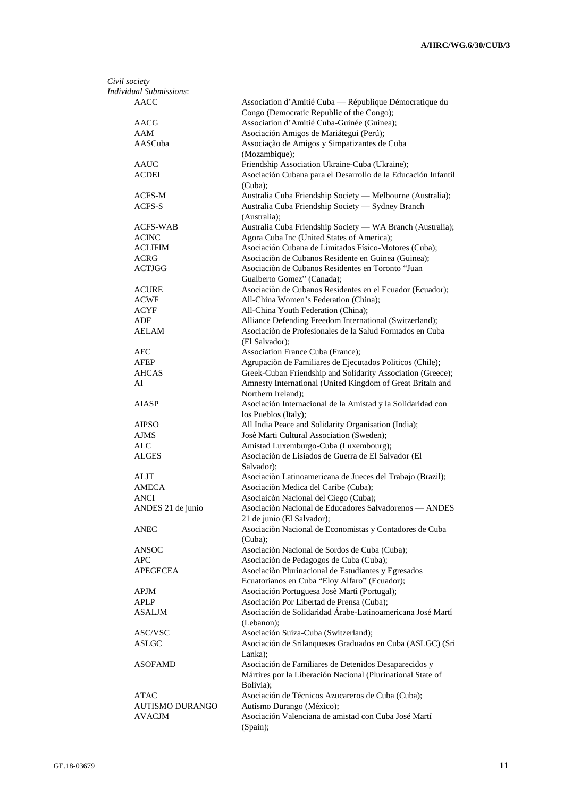| Civil society<br><b>Individual Submissions:</b> |                                                                                     |
|-------------------------------------------------|-------------------------------------------------------------------------------------|
| <b>AACC</b>                                     | Association d'Amitié Cuba — République Démocratique du                              |
|                                                 | Congo (Democratic Republic of the Congo);                                           |
|                                                 | Association d'Amitié Cuba-Guinée (Guinea);                                          |
| AACG                                            |                                                                                     |
| AAM                                             | Asociación Amigos de Mariátegui (Perú);                                             |
| AASCuba                                         | Associação de Amigos y Simpatizantes de Cuba                                        |
|                                                 | (Mozambique);                                                                       |
| AAUC                                            | Friendship Association Ukraine-Cuba (Ukraine);                                      |
| <b>ACDEI</b>                                    | Asociación Cubana para el Desarrollo de la Educación Infantil<br>(Cuba);            |
| ACFS-M                                          | Australia Cuba Friendship Society — Melbourne (Australia);                          |
| ACFS-S                                          | Australia Cuba Friendship Society - Sydney Branch<br>(Australia);                   |
| ACFS-WAB                                        | Australia Cuba Friendship Society — WA Branch (Australia);                          |
| <b>ACINC</b>                                    | Agora Cuba Inc (United States of America);                                          |
| <b>ACLIFIM</b>                                  | Asociación Cubana de Limitados Físico-Motores (Cuba);                               |
| <b>ACRG</b>                                     | Asociación de Cubanos Residente en Guinea (Guinea);                                 |
| <b>ACTJGG</b>                                   | Asociación de Cubanos Residentes en Toronto "Juan                                   |
|                                                 | Gualberto Gomez" (Canada);                                                          |
| <b>ACURE</b>                                    | Asociación de Cubanos Residentes en el Ecuador (Ecuador);                           |
| <b>ACWF</b>                                     | All-China Women's Federation (China);                                               |
| <b>ACYF</b>                                     | All-China Youth Federation (China);                                                 |
| ADF                                             | Alliance Defending Freedom International (Switzerland);                             |
|                                                 | Asociación de Profesionales de la Salud Formados en Cuba                            |
| <b>AELAM</b>                                    |                                                                                     |
|                                                 | (El Salvador);                                                                      |
| <b>AFC</b>                                      | Association France Cuba (France);                                                   |
| AFEP                                            | Agrupación de Familiares de Ejecutados Politicos (Chile);                           |
| <b>AHCAS</b>                                    | Greek-Cuban Friendship and Solidarity Association (Greece);                         |
| AI                                              | Amnesty International (United Kingdom of Great Britain and<br>Northern Ireland);    |
| <b>AIASP</b>                                    | Asociación Internacional de la Amistad y la Solidaridad con<br>los Pueblos (Italy); |
| <b>AIPSO</b>                                    | All India Peace and Solidarity Organisation (India);                                |
| <b>AJMS</b>                                     | Josè Marti Cultural Association (Sweden);                                           |
| ALC                                             | Amistad Luxemburgo-Cuba (Luxembourg);                                               |
| <b>ALGES</b>                                    | Asociación de Lisiados de Guerra de El Salvador (El<br>Salvador);                   |
| ALJT                                            | Asociación Latinoamericana de Jueces del Trabajo (Brazil);                          |
| AMECA                                           | Asociación Medica del Caribe (Cuba);                                                |
| <b>ANCI</b>                                     | Asociaicòn Nacional del Ciego (Cuba);                                               |
| ANDES 21 de junio                               | Asociación Nacional de Educadores Salvadorenos - ANDES                              |
|                                                 | 21 de junio (El Salvador);                                                          |
| <b>ANEC</b>                                     | Asociación Nacional de Economistas y Contadores de Cuba                             |
|                                                 | (Cuba);                                                                             |
| <b>ANSOC</b>                                    | Asociación Nacional de Sordos de Cuba (Cuba);                                       |
| APC                                             | Asociación de Pedagogos de Cuba (Cuba);                                             |
| <b>APEGECEA</b>                                 | Asociación Plurinacional de Estudiantes y Egresados                                 |
|                                                 | Ecuatorianos en Cuba "Eloy Alfaro" (Ecuador);                                       |
| <b>APJM</b>                                     | Asociación Portuguesa Josè Martì (Portugal);                                        |
| <b>APLP</b>                                     | Asociación Por Libertad de Prensa (Cuba);                                           |
| <b>ASALJM</b>                                   | Asociación de Solidaridad Árabe-Latinoamericana José Martí<br>(Lebanon);            |
| ASC/VSC                                         | Asociación Suiza-Cuba (Switzerland);                                                |
| <b>ASLGC</b>                                    | Asociación de Srilanqueses Graduados en Cuba (ASLGC) (Sri<br>Lanka);                |
| <b>ASOFAMD</b>                                  | Asociación de Familiares de Detenidos Desaparecidos y                               |
|                                                 | Mártires por la Liberación Nacional (Plurinational State of                         |
|                                                 | Bolivia);                                                                           |
| ATAC                                            | Asociación de Técnicos Azucareros de Cuba (Cuba);                                   |
| <b>AUTISMO DURANGO</b>                          | Autismo Durango (México);                                                           |
| <b>AVACJM</b>                                   | Asociación Valenciana de amistad con Cuba José Martí                                |
|                                                 | (Spain);                                                                            |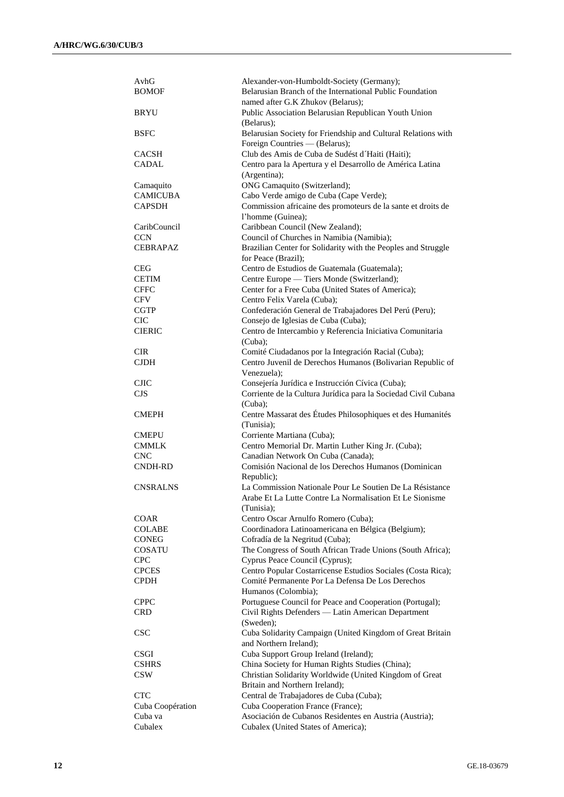| AvhG             | Alexander-von-Humboldt-Society (Germany);                      |
|------------------|----------------------------------------------------------------|
| <b>BOMOF</b>     | Belarusian Branch of the International Public Foundation       |
|                  | named after G.K Zhukov (Belarus);                              |
| <b>BRYU</b>      | Public Association Belarusian Republican Youth Union           |
|                  | (Belarus);                                                     |
| <b>BSFC</b>      | Belarusian Society for Friendship and Cultural Relations with  |
|                  | Foreign Countries - (Belarus);                                 |
| CACSH            | Club des Amis de Cuba de Sudést d'Haiti (Haiti);               |
| <b>CADAL</b>     | Centro para la Apertura y el Desarrollo de América Latina      |
|                  | (Argentina);                                                   |
| Camaquito        | ONG Camaquito (Switzerland);                                   |
| <b>CAMICUBA</b>  | Cabo Verde amigo de Cuba (Cape Verde);                         |
| <b>CAPSDH</b>    | Commission africaine des promoteurs de la sante et droits de   |
|                  | l'homme (Guinea);                                              |
| CaribCouncil     | Caribbean Council (New Zealand);                               |
| <b>CCN</b>       | Council of Churches in Namibia (Namibia);                      |
| <b>CEBRAPAZ</b>  | Brazilian Center for Solidarity with the Peoples and Struggle  |
|                  | for Peace (Brazil);                                            |
| CEG              | Centro de Estudios de Guatemala (Guatemala);                   |
| <b>CETIM</b>     | Centre Europe - Tiers Monde (Switzerland);                     |
| <b>CFFC</b>      | Center for a Free Cuba (United States of America);             |
| <b>CFV</b>       | Centro Felix Varela (Cuba);                                    |
| <b>CGTP</b>      | Confederación General de Trabajadores Del Perú (Peru);         |
| <b>CIC</b>       | Consejo de Iglesias de Cuba (Cuba);                            |
| <b>CIERIC</b>    | Centro de Intercambio y Referencia Iniciativa Comunitaria      |
|                  | (Cuba);                                                        |
| <b>CIR</b>       | Comité Ciudadanos por la Integración Racial (Cuba);            |
| CJDH             | Centro Juvenil de Derechos Humanos (Bolivarian Republic of     |
|                  | Venezuela);                                                    |
| <b>CJIC</b>      |                                                                |
| <b>CJS</b>       | Consejería Jurídica e Instrucción Cívica (Cuba);               |
|                  | Corriente de la Cultura Jurídica para la Sociedad Civil Cubana |
|                  | (Cuba);                                                        |
| <b>CMEPH</b>     | Centre Massarat des Études Philosophiques et des Humanités     |
|                  | (Tunisia);                                                     |
| <b>CMEPU</b>     | Corriente Martiana (Cuba);                                     |
| <b>CMMLK</b>     | Centro Memorial Dr. Martin Luther King Jr. (Cuba);             |
| <b>CNC</b>       | Canadian Network On Cuba (Canada);                             |
| <b>CNDH-RD</b>   | Comisión Nacional de los Derechos Humanos (Dominican           |
|                  | Republic);                                                     |
| <b>CNSRALNS</b>  | La Commission Nationale Pour Le Soutien De La Résistance       |
|                  | Arabe Et La Lutte Contre La Normalisation Et Le Sionisme       |
|                  | (Tunisia);                                                     |
| <b>COAR</b>      | Centro Oscar Arnulfo Romero (Cuba);                            |
| <b>COLABE</b>    | Coordinadora Latinoamericana en Bélgica (Belgium);             |
| <b>CONEG</b>     | Cofradía de la Negritud (Cuba);                                |
| COSATU           | The Congress of South African Trade Unions (South Africa);     |
| <b>CPC</b>       | Cyprus Peace Council (Cyprus);                                 |
| <b>CPCES</b>     | Centro Popular Costarricense Estudios Sociales (Costa Rica);   |
| CPDH             | Comité Permanente Por La Defensa De Los Derechos               |
|                  | Humanos (Colombia);                                            |
| CPPC             | Portuguese Council for Peace and Cooperation (Portugal);       |
| CRD              | Civil Rights Defenders - Latin American Department             |
|                  | (Sweden);                                                      |
| <b>CSC</b>       | Cuba Solidarity Campaign (United Kingdom of Great Britain      |
|                  | and Northern Ireland);                                         |
| <b>CSGI</b>      | Cuba Support Group Ireland (Ireland);                          |
| CSHRS            | China Society for Human Rights Studies (China);                |
| <b>CSW</b>       | Christian Solidarity Worldwide (United Kingdom of Great        |
|                  | Britain and Northern Ireland);                                 |
| <b>CTC</b>       | Central de Trabajadores de Cuba (Cuba);                        |
| Cuba Coopération | Cuba Cooperation France (France);                              |
| Cuba va          | Asociación de Cubanos Residentes en Austria (Austria);         |
| Cubalex          | Cubalex (United States of America);                            |
|                  |                                                                |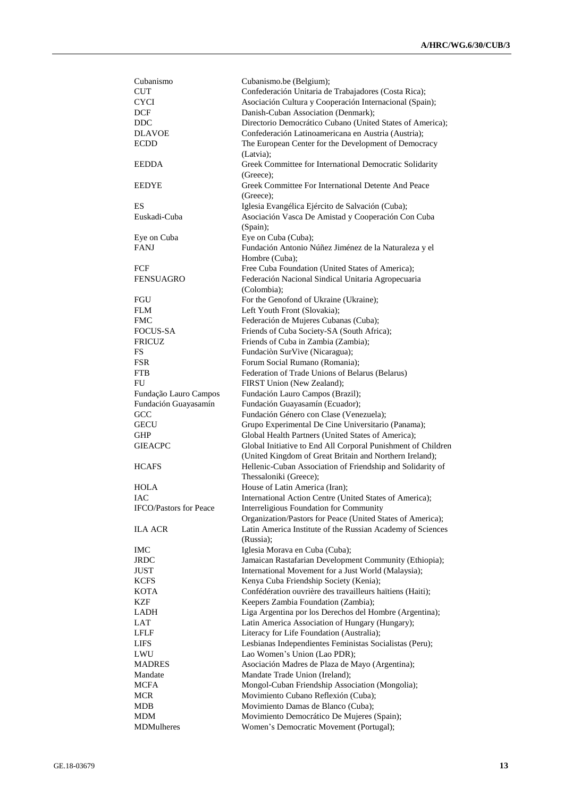| Cubanismo                     | Cubanismo.be (Belgium);                                                               |
|-------------------------------|---------------------------------------------------------------------------------------|
| <b>CUT</b>                    | Confederación Unitaria de Trabajadores (Costa Rica);                                  |
| <b>CYCI</b>                   | Asociación Cultura y Cooperación Internacional (Spain);                               |
| <b>DCF</b>                    | Danish-Cuban Association (Denmark);                                                   |
| <b>DDC</b>                    | Directorio Democrático Cubano (United States of America);                             |
| <b>DLAVOE</b>                 | Confederación Latinoamericana en Austria (Austria);                                   |
| <b>ECDD</b>                   | The European Center for the Development of Democracy                                  |
|                               | (Latvia);                                                                             |
| <b>EEDDA</b>                  | Greek Committee for International Democratic Solidarity                               |
|                               | (Greeze);                                                                             |
| <b>EEDYE</b>                  | Greek Committee For International Detente And Peace                                   |
|                               | (Greece);                                                                             |
| ES                            | Iglesia Evangélica Ejército de Salvación (Cuba);                                      |
| Euskadi-Cuba                  | Asociación Vasca De Amistad y Cooperación Con Cuba                                    |
|                               | (Spain);                                                                              |
| Eye on Cuba                   | Eye on Cuba (Cuba);                                                                   |
| <b>FANJ</b>                   | Fundación Antonio Núñez Jiménez de la Naturaleza y el                                 |
|                               | Hombre (Cuba);                                                                        |
| FCF                           | Free Cuba Foundation (United States of America);                                      |
| <b>FENSUAGRO</b>              | Federación Nacional Sindical Unitaria Agropecuaria                                    |
|                               | (Colombia);                                                                           |
| FGU                           | For the Genofond of Ukraine (Ukraine);                                                |
| <b>FLM</b>                    | Left Youth Front (Slovakia);                                                          |
| <b>FMC</b>                    | Federación de Mujeres Cubanas (Cuba);                                                 |
| <b>FOCUS-SA</b>               | Friends of Cuba Society-SA (South Africa);                                            |
| <b>FRICUZ</b>                 | Friends of Cuba in Zambia (Zambia);                                                   |
| FS                            | Fundaciòn SurVive (Nicaragua);                                                        |
| <b>FSR</b>                    | Forum Social Rumano (Romania);                                                        |
| <b>FTB</b>                    | Federation of Trade Unions of Belarus (Belarus)                                       |
| FU                            | FIRST Union (New Zealand);                                                            |
| Fundação Lauro Campos         | Fundación Lauro Campos (Brazil);                                                      |
| Fundación Guayasamín          | Fundación Guayasamín (Ecuador);                                                       |
| GCC                           | Fundación Género con Clase (Venezuela);                                               |
| <b>GECU</b>                   | Grupo Experimental De Cine Universitario (Panama);                                    |
| GHP                           | Global Health Partners (United States of America);                                    |
| GIEACPC                       | Global Initiative to End All Corporal Punishment of Children                          |
|                               | (United Kingdom of Great Britain and Northern Ireland);                               |
| <b>HCAFS</b>                  | Hellenic-Cuban Association of Friendship and Solidarity of                            |
|                               | Thessaloniki (Greece);                                                                |
| <b>HOLA</b>                   | House of Latin America (Iran);                                                        |
| IAC                           | International Action Centre (United States of America);                               |
| <b>IFCO/Pastors for Peace</b> | Interreligious Foundation for Community                                               |
|                               | Organization/Pastors for Peace (United States of America);                            |
| <b>ILA ACR</b>                | Latin America Institute of the Russian Academy of Sciences                            |
|                               | (Russia);                                                                             |
| <b>IMC</b>                    | Iglesia Morava en Cuba (Cuba);                                                        |
| <b>JRDC</b>                   | Jamaican Rastafarian Development Community (Ethiopia);                                |
| <b>JUST</b>                   | International Movement for a Just World (Malaysia);                                   |
| <b>KCFS</b>                   | Kenya Cuba Friendship Society (Kenia);                                                |
| <b>KOTA</b>                   | Confédération ouvrière des travailleurs haïtiens (Haiti);                             |
| KZF                           | Keepers Zambia Foundation (Zambia);                                                   |
| <b>LADH</b>                   | Liga Argentina por los Derechos del Hombre (Argentina);                               |
| LAT                           | Latin America Association of Hungary (Hungary);                                       |
| <b>LFLF</b>                   | Literacy for Life Foundation (Australia);                                             |
| <b>LIFS</b>                   | Lesbianas Independientes Feministas Socialistas (Peru);                               |
| LWU                           | Lao Women's Union (Lao PDR);                                                          |
| <b>MADRES</b>                 | Asociación Madres de Plaza de Mayo (Argentina);                                       |
| Mandate                       | Mandate Trade Union (Ireland);                                                        |
| <b>MCFA</b>                   | Mongol-Cuban Friendship Association (Mongolia);                                       |
|                               |                                                                                       |
| <b>MCR</b>                    | Movimiento Cubano Reflexión (Cuba);                                                   |
| <b>MDB</b>                    | Movimiento Damas de Blanco (Cuba);                                                    |
| MDM<br>MDMulheres             | Movimiento Democrático De Mujeres (Spain);<br>Women's Democratic Movement (Portugal); |
|                               |                                                                                       |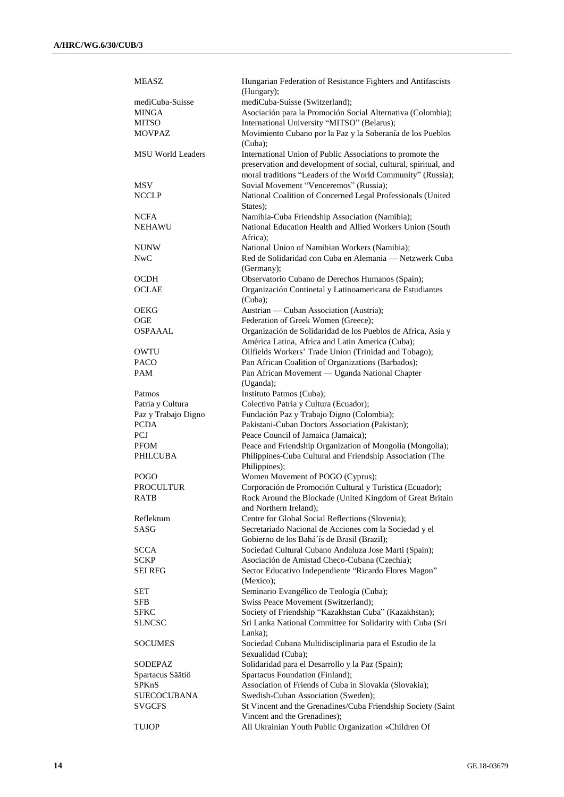| <b>MEASZ</b>             | Hungarian Federation of Resistance Fighters and Antifascists<br>(Hungary); |
|--------------------------|----------------------------------------------------------------------------|
| mediCuba-Suisse          | mediCuba-Suisse (Switzerland);                                             |
| <b>MINGA</b>             | Asociación para la Promoción Social Alternativa (Colombia);                |
| <b>MITSO</b>             | International University "MITSO" (Belarus);                                |
| <b>MOVPAZ</b>            | Movimiento Cubano por la Paz y la Soberanía de los Pueblos                 |
|                          | (Cuba);                                                                    |
| <b>MSU World Leaders</b> | International Union of Public Associations to promote the                  |
|                          |                                                                            |
|                          | preservation and development of social, cultural, spiritual, and           |
|                          | moral traditions "Leaders of the World Community" (Russia);                |
| <b>MSV</b>               | Sovial Movement "Venceremos" (Russia);                                     |
| <b>NCCLP</b>             | National Coalition of Concerned Legal Professionals (United                |
|                          | States);                                                                   |
| <b>NCFA</b>              | Namibia-Cuba Friendship Association (Namibia);                             |
| NEHAWU                   | National Education Health and Allied Workers Union (South                  |
|                          | Africa);                                                                   |
| <b>NUNW</b>              | National Union of Namibian Workers (Namibia);                              |
| NwC                      | Red de Solidaridad con Cuba en Alemania — Netzwerk Cuba                    |
|                          | (Germany);                                                                 |
| OCDH                     | Observatorio Cubano de Derechos Humanos (Spain);                           |
|                          |                                                                            |
| <b>OCLAE</b>             | Organización Continetal y Latinoamericana de Estudiantes                   |
|                          | (Cuba);                                                                    |
| <b>OEKG</b>              | Austrian — Cuban Association (Austria);                                    |
| OGE                      | Federation of Greek Women (Greece);                                        |
| <b>OSPAAAL</b>           | Organización de Solidaridad de los Pueblos de Africa, Asia y               |
|                          | América Latina, Africa and Latin America (Cuba);                           |
| <b>OWTU</b>              | Oilfields Workers' Trade Union (Trinidad and Tobago);                      |
| <b>PACO</b>              | Pan African Coalition of Organizations (Barbados);                         |
| <b>PAM</b>               | Pan African Movement — Uganda National Chapter                             |
|                          | (Uganda);                                                                  |
| Patmos                   | Instituto Patmos (Cuba);                                                   |
| Patria y Cultura         | Colectivo Patria y Cultura (Ecuador);                                      |
| Paz y Trabajo Digno      | Fundación Paz y Trabajo Digno (Colombia);                                  |
| <b>PCDA</b>              |                                                                            |
|                          | Pakistani-Cuban Doctors Association (Pakistan);                            |
| PCJ                      | Peace Council of Jamaica (Jamaica);                                        |
| <b>PFOM</b>              | Peace and Friendship Organization of Mongolia (Mongolia);                  |
| PHILCUBA                 | Philippines-Cuba Cultural and Friendship Association (The                  |
|                          | Philippines);                                                              |
| <b>POGO</b>              | Women Movement of POGO (Cyprus);                                           |
| <b>PROCULTUR</b>         | Corporación de Promoción Cultural y Turistica (Ecuador);                   |
| RATB                     | Rock Around the Blockade (United Kingdom of Great Britain                  |
|                          | and Northern Ireland);                                                     |
| Reflektum                | Centre for Global Social Reflections (Slovenia);                           |
| SASG                     | Secretariado Nacional de Acciones com la Sociedad y el                     |
|                          | Gobierno de los Bahá'ís de Brasil (Brazil);                                |
| <b>SCCA</b>              | Sociedad Cultural Cubano Andaluza Jose Marti (Spain);                      |
| <b>SCKP</b>              | Asociación de Amistad Checo-Cubana (Czechia);                              |
| <b>SEI RFG</b>           | Sector Educativo Independiente "Ricardo Flores Magon"                      |
|                          | (Mexico);                                                                  |
| <b>SET</b>               | Seminario Evangélico de Teología (Cuba);                                   |
| <b>SFB</b>               | Swiss Peace Movement (Switzerland);                                        |
| <b>SFKC</b>              | Society of Friendship "Kazakhstan Cuba" (Kazakhstan);                      |
| <b>SLNCSC</b>            | Sri Lanka National Committee for Solidarity with Cuba (Sri                 |
|                          | Lanka);                                                                    |
| <b>SOCUMES</b>           | Sociedad Cubana Multidisciplinaria para el Estudio de la                   |
|                          | Sexualidad (Cuba);                                                         |
| SODEPAZ                  | Solidaridad para el Desarrollo y la Paz (Spain);                           |
|                          | Spartacus Foundation (Finland);                                            |
| Spartacus Säätiö         |                                                                            |
| <b>SPKnS</b>             | Association of Friends of Cuba in Slovakia (Slovakia);                     |
| <b>SUECOCUBANA</b>       | Swedish-Cuban Association (Sweden);                                        |
| <b>SVGCFS</b>            | St Vincent and the Grenadines/Cuba Friendship Society (Saint               |
|                          | Vincent and the Grenadines);                                               |
| TUJOP                    | All Ukrainian Youth Public Organization «Children Of                       |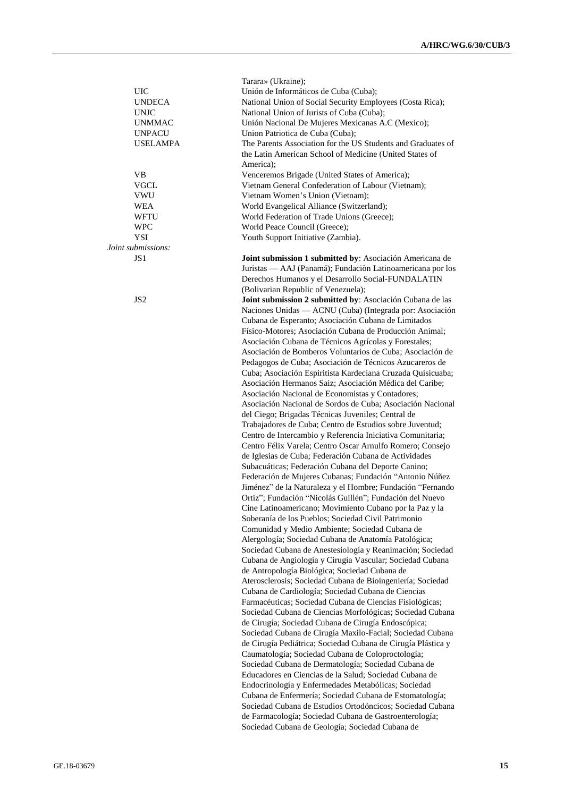|                    | Tarara» (Ukraine);                                           |
|--------------------|--------------------------------------------------------------|
| <b>UIC</b>         | Unión de Informáticos de Cuba (Cuba);                        |
|                    |                                                              |
| <b>UNDECA</b>      | National Union of Social Security Employees (Costa Rica);    |
| <b>UNJC</b>        | National Union of Jurists of Cuba (Cuba);                    |
| <b>UNMMAC</b>      | Unión Nacional De Mujeres Mexicanas A.C (Mexico);            |
| <b>UNPACU</b>      | Union Patriotica de Cuba (Cuba);                             |
| <b>USELAMPA</b>    | The Parents Association for the US Students and Graduates of |
|                    | the Latin American School of Medicine (United States of      |
|                    | America);                                                    |
| VB                 | Venceremos Brigade (United States of America);               |
| VGCL               | Vietnam General Confederation of Labour (Vietnam);           |
| <b>VWU</b>         | Vietnam Women's Union (Vietnam);                             |
| WEA                | World Evangelical Alliance (Switzerland);                    |
| WFTU               | World Federation of Trade Unions (Greece);                   |
| <b>WPC</b>         | World Peace Council (Greece);                                |
| YSI                |                                                              |
|                    | Youth Support Initiative (Zambia).                           |
| Joint submissions: |                                                              |
| JS1                | Joint submission 1 submitted by: Asociación Americana de     |
|                    | Juristas — AAJ (Panamá); Fundación Latinoamericana por los   |
|                    | Derechos Humanos y el Desarrollo Social-FUNDALATIN           |
|                    | (Bolivarian Republic of Venezuela);                          |
| JS <sub>2</sub>    | Joint submission 2 submitted by: Asociación Cubana de las    |
|                    | Naciones Unidas — ACNU (Cuba) (Integrada por: Asociación     |
|                    | Cubana de Esperanto; Asociación Cubana de Limitados          |
|                    | Físico-Motores; Asociación Cubana de Producción Animal;      |
|                    | Asociación Cubana de Técnicos Agrícolas y Forestales;        |
|                    | Asociación de Bomberos Voluntarios de Cuba; Asociación de    |
|                    | Pedagogos de Cuba; Asociación de Técnicos Azucareros de      |
|                    |                                                              |
|                    | Cuba; Asociación Espiritista Kardeciana Cruzada Quisicuaba;  |
|                    | Asociación Hermanos Saiz; Asociación Médica del Caribe;      |
|                    | Asociación Nacional de Economistas y Contadores;             |
|                    | Asociación Nacional de Sordos de Cuba; Asociación Nacional   |
|                    | del Ciego; Brigadas Técnicas Juveniles; Central de           |
|                    | Trabajadores de Cuba; Centro de Estudios sobre Juventud;     |
|                    | Centro de Intercambio y Referencia Iniciativa Comunitaria;   |
|                    | Centro Félix Varela; Centro Oscar Arnulfo Romero; Consejo    |
|                    | de Iglesias de Cuba; Federación Cubana de Actividades        |
|                    | Subacuáticas; Federación Cubana del Deporte Canino;          |
|                    | Federación de Mujeres Cubanas; Fundación "Antonio Núñez      |
|                    | Jiménez" de la Naturaleza y el Hombre; Fundación "Fernando   |
|                    | Ortiz"; Fundación "Nicolás Guillén"; Fundación del Nuevo     |
|                    |                                                              |
|                    | Cine Latinoamericano; Movimiento Cubano por la Paz y la      |
|                    | Soberanía de los Pueblos; Sociedad Civil Patrimonio          |
|                    | Comunidad y Medio Ambiente; Sociedad Cubana de               |
|                    | Alergología; Sociedad Cubana de Anatomía Patológica;         |
|                    | Sociedad Cubana de Anestesiología y Reanimación; Sociedad    |
|                    | Cubana de Angiología y Cirugía Vascular; Sociedad Cubana     |
|                    | de Antropología Biológica; Sociedad Cubana de                |
|                    | Aterosclerosis; Sociedad Cubana de Bioingeniería; Sociedad   |
|                    | Cubana de Cardiología; Sociedad Cubana de Ciencias           |
|                    | Farmacéuticas; Sociedad Cubana de Ciencias Fisiológicas;     |
|                    | Sociedad Cubana de Ciencias Morfológicas; Sociedad Cubana    |
|                    | de Cirugía; Sociedad Cubana de Cirugía Endoscópica;          |
|                    | Sociedad Cubana de Cirugía Maxilo-Facial; Sociedad Cubana    |
|                    |                                                              |
|                    | de Cirugía Pediátrica; Sociedad Cubana de Cirugía Plástica y |
|                    | Caumatología; Sociedad Cubana de Coloproctología;            |
|                    | Sociedad Cubana de Dermatología; Sociedad Cubana de          |
|                    | Educadores en Ciencias de la Salud; Sociedad Cubana de       |
|                    | Endocrinología y Enfermedades Metabólicas; Sociedad          |
|                    | Cubana de Enfermería; Sociedad Cubana de Estomatología;      |
|                    | Sociedad Cubana de Estudios Ortodóncicos; Sociedad Cubana    |
|                    | de Farmacología; Sociedad Cubana de Gastroenterología;       |
|                    | Sociedad Cubana de Geología; Sociedad Cubana de              |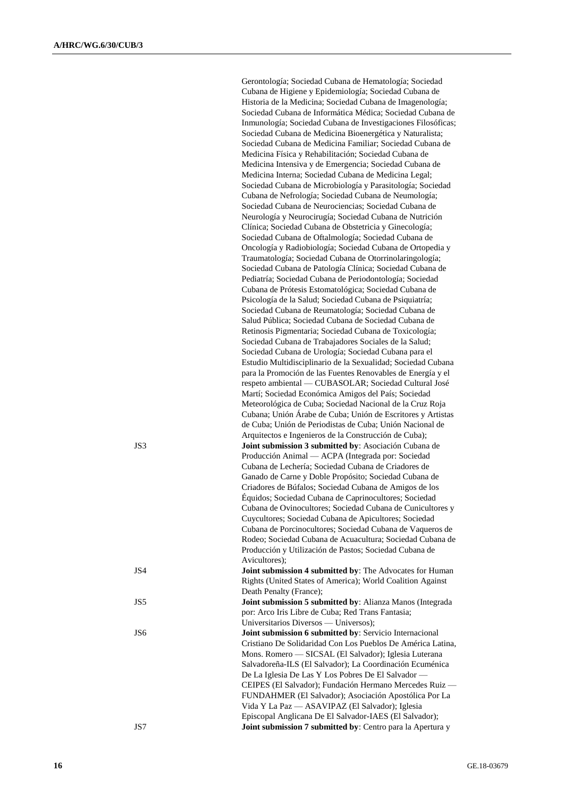Gerontología; Sociedad Cubana de Hematología; Sociedad Cubana de Higiene y Epidemiología; Sociedad Cubana de Historia de la Medicina; Sociedad Cubana de Imagenología; Sociedad Cubana de Informática Médica; Sociedad Cubana de Inmunología; Sociedad Cubana de Investigaciones Filosóficas; Sociedad Cubana de Medicina Bioenergética y Naturalista; Sociedad Cubana de Medicina Familiar; Sociedad Cubana de Medicina Física y Rehabilitación; Sociedad Cubana de Medicina Intensiva y de Emergencia; Sociedad Cubana de Medicina Interna; Sociedad Cubana de Medicina Legal; Sociedad Cubana de Microbiología y Parasitología; Sociedad Cubana de Nefrología; Sociedad Cubana de Neumología; Sociedad Cubana de Neurociencias; Sociedad Cubana de Neurología y Neurocirugía; Sociedad Cubana de Nutrición Clínica; Sociedad Cubana de Obstetricia y Ginecología; Sociedad Cubana de Oftalmología; Sociedad Cubana de Oncología y Radiobiología; Sociedad Cubana de Ortopedia y Traumatología; Sociedad Cubana de Otorrinolaringología; Sociedad Cubana de Patología Clínica; Sociedad Cubana de Pediatría; Sociedad Cubana de Periodontología; Sociedad Cubana de Prótesis Estomatológica; Sociedad Cubana de Psicología de la Salud; Sociedad Cubana de Psiquiatría; Sociedad Cubana de Reumatología; Sociedad Cubana de Salud Pública; Sociedad Cubana de Sociedad Cubana de Retinosis Pigmentaria; Sociedad Cubana de Toxicología; Sociedad Cubana de Trabajadores Sociales de la Salud; Sociedad Cubana de Urología; Sociedad Cubana para el Estudio Multidisciplinario de la Sexualidad; Sociedad Cubana para la Promoción de las Fuentes Renovables de Energía y el respeto ambiental — CUBASOLAR; Sociedad Cultural José Martí; Sociedad Económica Amigos del País; Sociedad Meteorológica de Cuba; Sociedad Nacional de la Cruz Roja Cubana; Unión Árabe de Cuba; Unión de Escritores y Artistas de Cuba; Unión de Periodistas de Cuba; Unión Nacional de Arquitectos e Ingenieros de la Construcción de Cuba); JS3 **Joint submission 3 submitted by**: Asociación Cubana de Producción Animal — ACPA (Integrada por: Sociedad Cubana de Lechería; Sociedad Cubana de Criadores de Ganado de Carne y Doble Propósito; Sociedad Cubana de Criadores de Búfalos; Sociedad Cubana de Amigos de los Équidos; Sociedad Cubana de Caprinocultores; Sociedad Cubana de Ovinocultores; Sociedad Cubana de Cunicultores y Cuycultores; Sociedad Cubana de Apicultores; Sociedad Cubana de Porcinocultores; Sociedad Cubana de Vaqueros de Rodeo; Sociedad Cubana de Acuacultura; Sociedad Cubana de Producción y Utilización de Pastos; Sociedad Cubana de Avicultores); JS4 **Joint submission 4 submitted by**: The Advocates for Human Rights (United States of America); World Coalition Against Death Penalty (France); JS5 **Joint submission 5 submitted by**: Alianza Manos (Integrada por: Arco Iris Libre de Cuba; Red Trans Fantasia; Universitarios Diversos — Universos); JS6 **Joint submission 6 submitted by**: Servicio Internacional Cristiano De Solidaridad Con Los Pueblos De América Latina, Mons. Romero — SICSAL (El Salvador); Iglesia Luterana Salvadoreña-ILS (El Salvador); La Coordinación Ecuménica De La Iglesia De Las Y Los Pobres De El Salvador — CEIPES (El Salvador); Fundación Hermano Mercedes Ruiz — FUNDAHMER (El Salvador); Asociación Apostólica Por La Vida Y La Paz — ASAVIPAZ (El Salvador); Iglesia Episcopal Anglicana De El Salvador-IAES (El Salvador); JS7 **Joint submission 7 submitted by**: Centro para la Apertura y

**16** GE.18-03679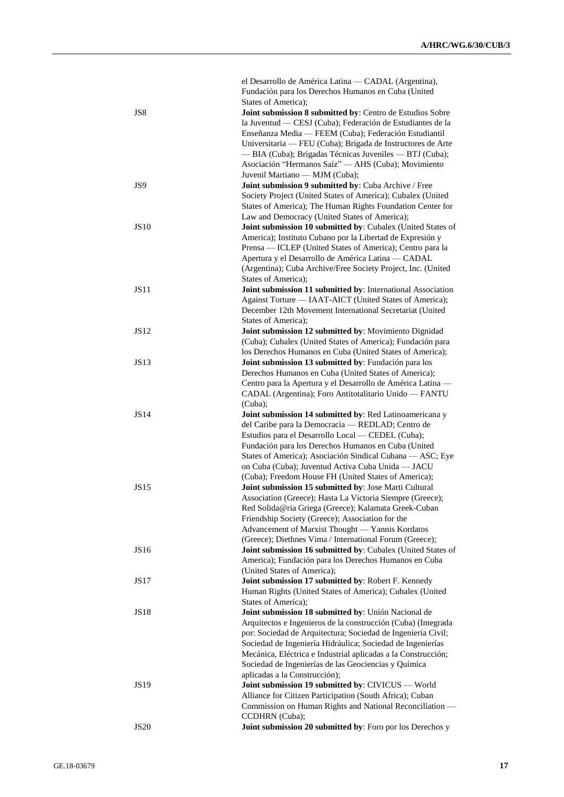|             | el Desarrollo de América Latina — CADAL (Argentina),<br>Fundación para los Derechos Humanos en Cuba (United<br>States of America);                                                                                                                                                                                                      |
|-------------|-----------------------------------------------------------------------------------------------------------------------------------------------------------------------------------------------------------------------------------------------------------------------------------------------------------------------------------------|
| JS8         | Joint submission 8 submitted by: Centro de Estudios Sobre<br>la Juventud — CESJ (Cuba); Federación de Estudiantes de la<br>Enseñanza Media — FEEM (Cuba); Federación Estudiantil<br>Universitaria — FEU (Cuba); Brigada de Instructores de Arte<br>-BIA (Cuba); Brigadas Técnicas Juveniles - BTJ (Cuba);                               |
| JS9         | Asociación "Hermanos Saíz" — AHS (Cuba); Movimiento<br>Juvenil Martiano - MJM (Cuba);<br>Joint submission 9 submitted by: Cuba Archive / Free<br>Society Project (United States of America); Cubalex (United                                                                                                                            |
|             | States of America); The Human Rights Foundation Center for<br>Law and Democracy (United States of America);                                                                                                                                                                                                                             |
| <b>JS10</b> | Joint submission 10 submitted by: Cubalex (United States of<br>America); Instituto Cubano por la Libertad de Expresión y<br>Prensa — ICLEP (United States of America); Centro para la                                                                                                                                                   |
|             | Apertura y el Desarrollo de América Latina - CADAL<br>(Argentina); Cuba Archive/Free Society Project, Inc. (United<br>States of America);                                                                                                                                                                                               |
| <b>JS11</b> | Joint submission 11 submitted by: International Association<br>Against Torture - IAAT-AICT (United States of America);<br>December 12th Movement International Secretariat (United<br>States of America);                                                                                                                               |
| <b>JS12</b> | Joint submission 12 submitted by: Movimiento Dignidad<br>(Cuba); Cubalex (United States of America); Fundación para<br>los Derechos Humanos en Cuba (United States of America);                                                                                                                                                         |
| <b>JS13</b> | Joint submission 13 submitted by: Fundación para los<br>Derechos Humanos en Cuba (United States of America);<br>Centro para la Apertura y el Desarrollo de América Latina -<br>CADAL (Argentina); Foro Antitotalitario Unido - FANTU                                                                                                    |
| JS14        | (Cuba);<br>Joint submission 14 submitted by: Red Latinoamericana y                                                                                                                                                                                                                                                                      |
|             | del Caribe para la Democracia - REDLAD; Centro de<br>Estudios para el Desarrollo Local — CEDEL (Cuba);<br>Fundación para los Derechos Humanos en Cuba (United<br>States of America); Asociación Sindical Cubana - ASC; Eye<br>on Cuba (Cuba); Juventud Activa Cuba Unida - JACU<br>(Cuba); Freedom House FH (United States of America); |
| <b>JS15</b> | Joint submission 15 submitted by: Jose Marti Cultural<br>Association (Greece); Hasta La Victoria Siempre (Greece);<br>Red Solida@ria Griega (Greece); Kalamata Greek-Cuban<br>Friendship Society (Greece); Association for the                                                                                                          |
|             | Advancement of Marxist Thought - Yannis Kordatos<br>(Greece); Diethnes Vima / International Forum (Greece);                                                                                                                                                                                                                             |
| <b>JS16</b> | Joint submission 16 submitted by: Cubalex (United States of<br>America); Fundación para los Derechos Humanos en Cuba<br>(United States of America);                                                                                                                                                                                     |
| <b>JS17</b> | Joint submission 17 submitted by: Robert F. Kennedy<br>Human Rights (United States of America); Cubalex (United                                                                                                                                                                                                                         |
| <b>JS18</b> | States of America);<br>Joint submission 18 submitted by: Unión Nacional de<br>Arquitectos e Ingenieros de la construcción (Cuba) (Integrada                                                                                                                                                                                             |
|             | por: Sociedad de Arquitectura; Sociedad de Ingeniería Civil;<br>Sociedad de Ingeniería Hidráulica; Sociedad de Ingenierías<br>Mecánica, Eléctrica e Industrial aplicadas a la Construcción;<br>Sociedad de Ingenierías de las Geociencias y Química                                                                                     |
| <b>JS19</b> | aplicadas a la Construcción);<br>Joint submission 19 submitted by: CIVICUS - World<br>Alliance for Citizen Participation (South Africa); Cuban<br>Commission on Human Rights and National Reconciliation -                                                                                                                              |
| <b>JS20</b> | CCDHRN (Cuba);<br>Joint submission 20 submitted by: Foro por los Derechos y                                                                                                                                                                                                                                                             |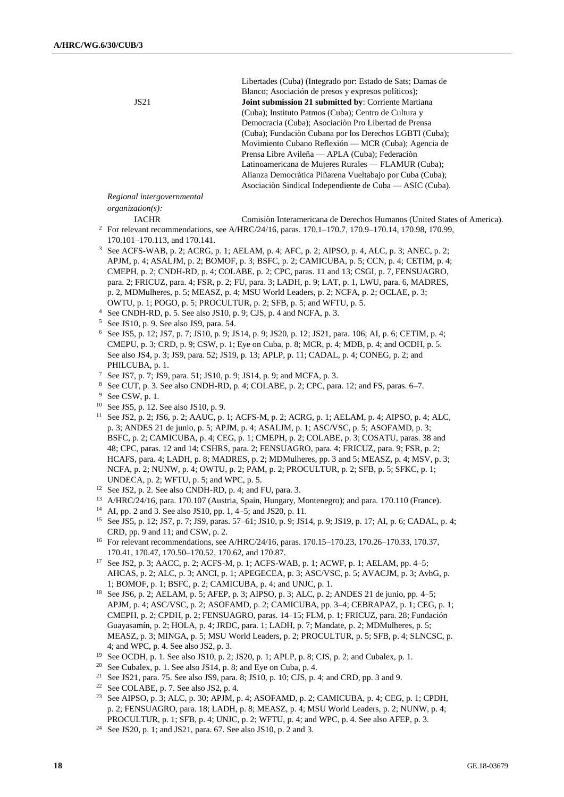Libertades (Cuba) (Integrado por: Estado de Sats; Damas de Blanco; Asociación de presos y expresos políticos); JS21 **Joint submission 21 submitted by**: Corriente Martiana (Cuba); Instituto Patmos (Cuba); Centro de Cultura y Democracia (Cuba); Asociaciòn Pro Libertad de Prensa (Cuba); Fundaciòn Cubana por los Derechos LGBTI (Cuba); Movimiento Cubano Reflexión — MCR (Cuba); Agencia de Prensa Libre Avileña — APLA (Cuba); Federaciòn Latinoamericana de Mujeres Rurales — FLAMUR (Cuba); Alianza Democràtica Piñarena Vueltabajo por Cuba (Cuba); Asociaciòn Sindical Independiente de Cuba — ASIC (Cuba).

*Regional intergovernmental organization(s):*

- IACHR Comisiòn Interamericana de Derechos Humanos (United States of America). <sup>2</sup> For relevant recommendations, see A/HRC/24/16, paras. 170.1-170.7, 170.9-170.14, 170.98, 170.99, 170.101–170.113, and 170.141.
- See ACFS-WAB, p. 2; ACRG, p. 1; AELAM, p. 4; AFC, p. 2; AIPSO, p. 4, ALC, p. 3; ANEC, p. 2; APJM, p. 4; ASALJM, p. 2; BOMOF, p. 3; BSFC, p. 2; CAMICUBA, p. 5; CCN, p. 4; CETIM, p. 4; CMEPH, p. 2; CNDH-RD, p. 4; COLABE, p. 2; CPC, paras. 11 and 13; CSGI, p. 7, FENSUAGRO, para. 2; FRICUZ, para. 4; FSR, p. 2; FU, para. 3; LADH, p. 9; LAT, p. 1, LWU, para. 6, MADRES, p. 2, MDMulheres, p. 5; MEASZ, p. 4; MSU World Leaders, p. 2; NCFA, p. 2; OCLAE, p. 3; OWTU, p. 1; POGO, p. 5; PROCULTUR, p. 2; SFB, p. 5; and WFTU, p. 5.
- <sup>4</sup> See CNDH-RD, p. 5. See also JS10, p. 9; CJS, p. 4 and NCFA, p. 3.
- <sup>5</sup> See JS10, p. 9. See also JS9, para. 54.
- <sup>6</sup> See JS5, p. 12; JS7, p. 7; JS10, p. 9; JS14, p. 9; JS20, p. 12; JS21, para. 106; AI, p. 6; CETIM, p. 4; CMEPU, p. 3; CRD, p. 9; CSW, p. 1; Eye on Cuba, p. 8; MCR, p. 4; MDB, p. 4; and OCDH, p. 5. See also JS4, p. 3; JS9, para. 52; JS19, p. 13; APLP, p. 11; CADAL, p. 4; CONEG, p. 2; and PHILCUBA, p. 1.
- <sup>7</sup> See JS7, p. 7; JS9, para. 51; JS10, p. 9; JS14, p. 9; and MCFA, p. 3.
- <sup>8</sup> See CUT, p. 3. See also CNDH-RD, p. 4; COLABE, p. 2; CPC, para. 12; and FS, paras. 6–7.
- <sup>9</sup> See CSW, p. 1.
- <sup>10</sup> See JS5, p. 12. See also JS10, p. 9.
- <sup>11</sup> See JS2, p. 2; JS6, p. 2; AAUC, p. 1; ACFS-M, p. 2; ACRG, p. 1; AELAM, p. 4; AIPSO, p. 4; ALC, p. 3; ANDES 21 de junio, p. 5; APJM, p. 4; ASALJM, p. 1; ASC/VSC, p. 5; ASOFAMD, p. 3; BSFC, p. 2; CAMICUBA, p. 4; CEG, p. 1; CMEPH, p. 2; COLABE, p. 3; COSATU, paras. 38 and 48; CPC, paras. 12 and 14; CSHRS, para. 2; FENSUAGRO, para. 4; FRICUZ, para. 9; FSR, p. 2; HCAFS, para. 4; LADH, p. 8; MADRES, p. 2; MDMulheres, pp. 3 and 5; MEASZ, p. 4; MSV, p. 3; NCFA, p. 2; NUNW, p. 4; OWTU, p. 2; PAM, p. 2; PROCULTUR, p. 2; SFB, p. 5; SFKC, p. 1; UNDECA, p. 2; WFTU, p. 5; and WPC, p. 5.
- <sup>12</sup> See JS2, p. 2. See also CNDH-RD, p. 4; and FU, para. 3.
- <sup>13</sup> A/HRC/24/16, para. 170.107 (Austria, Spain, Hungary, Montenegro); and para. 170.110 (France).
- <sup>14</sup> AI, pp. 2 and 3. See also JS10, pp. 1, 4–5; and JS20, p. 11.
- <sup>15</sup> See JS5, p. 12; JS7, p. 7; JS9, paras. 57–61; JS10, p. 9; JS14, p. 9; JS19, p. 17; AI, p. 6; CADAL, p. 4; CRD, pp. 9 and 11; and CSW, p. 2.
- <sup>16</sup> For relevant recommendations, see A/HRC/24/16, paras. 170.15–170.23, 170.26–170.33, 170.37, 170.41, 170.47, 170.50–170.52, 170.62, and 170.87.
- <sup>17</sup> See JS2, p. 3; AACC, p. 2; ACFS-M, p. 1; ACFS-WAB, p. 1; ACWF, p. 1; AELAM, pp. 4–5; AHCAS, p. 2; ALC, p. 3; ANCI, p. 1; APEGECEA, p. 3; ASC/VSC, p. 5; AVACJM, p. 3; AvhG, p. 1; BOMOF, p. 1; BSFC, p. 2; CAMICUBA, p. 4; and UNJC, p. 1.
- <sup>18</sup> See JS6, p. 2; AELAM, p. 5; AFEP, p. 3; AIPSO, p. 3; ALC, p. 2; ANDES 21 de junio, pp. 4–5; APJM, p. 4; ASC/VSC, p. 2; ASOFAMD, p. 2; CAMICUBA, pp. 3–4; CEBRAPAZ, p. 1; CEG, p. 1; CMEPH, p. 2; CPDH, p. 2; FENSUAGRO, paras. 14–15; FLM, p. 1; FRICUZ, para. 28; Fundación Guayasamín, p. 2; HOLA, p. 4; JRDC, para. 1; LADH, p. 7; Mandate, p. 2; MDMulheres, p. 5; MEASZ, p. 3; MINGA, p. 5; MSU World Leaders, p. 2; PROCULTUR, p. 5; SFB, p. 4; SLNCSC, p. 4; and WPC, p. 4. See also JS2, p. 3.
- <sup>19</sup> See OCDH, p. 1. See also JS10, p. 2; JS20, p. 1; APLP, p. 8; CJS, p. 2; and Cubalex, p. 1.
- <sup>20</sup> See Cubalex, p. 1. See also JS14, p. 8; and Eye on Cuba, p. 4.
- <sup>21</sup> See JS21, para. 75. See also JS9, para. 8; JS10, p. 10; CJS, p. 4; and CRD, pp. 3 and 9.
- <sup>22</sup> See COLABE, p. 7. See also JS2, p. 4.
- <sup>23</sup> See AIPSO, p. 3; ALC, p. 30; APJM, p. 4; ASOFAMD, p. 2; CAMICUBA, p. 4; CEG, p. 1; CPDH, p. 2; FENSUAGRO, para. 18; LADH, p. 8; MEASZ, p. 4; MSU World Leaders, p. 2; NUNW, p. 4; PROCULTUR, p. 1; SFB, p. 4; UNJC, p. 2; WFTU, p. 4; and WPC, p. 4. See also AFEP, p. 3.
- <sup>24</sup> See JS20, p. 1; and JS21, para. 67. See also JS10, p. 2 and 3.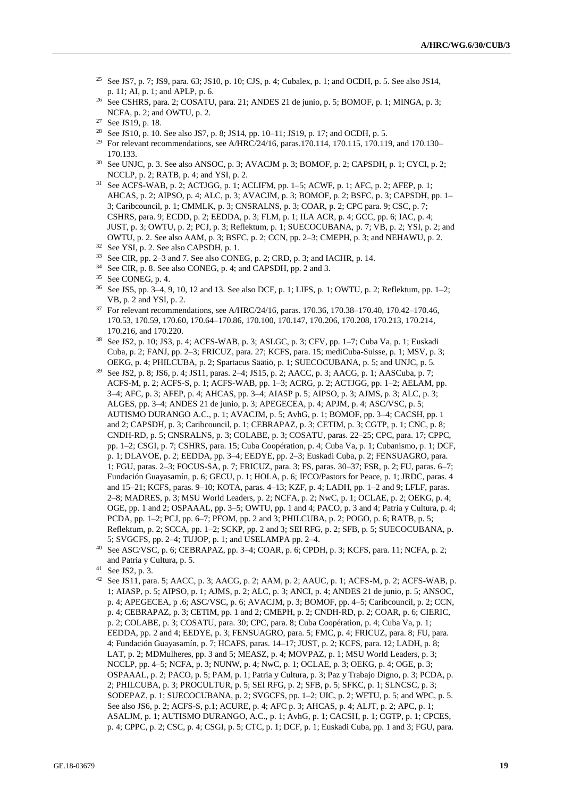- <sup>25</sup> See JS7, p. 7; JS9, para. 63; JS10, p. 10; CJS, p. 4; Cubalex, p. 1; and OCDH, p. 5. See also JS14, p. 11; AI, p. 1; and APLP, p. 6.
- <sup>26</sup> See CSHRS, para. 2; COSATU, para. 21; ANDES 21 de junio, p. 5; BOMOF, p. 1; MINGA, p. 3; NCFA, p. 2; and OWTU, p. 2.

- <sup>28</sup> See JS10, p. 10. See also JS7, p. 8; JS14, pp. 10–11; JS19, p. 17; and OCDH, p. 5.<br><sup>29</sup> For relevant recommendations, see A/HBC/24/16, pares 170, 114, 170, 115, 170, 11
- <sup>29</sup> For relevant recommendations, see A/HRC/24/16, paras.170.114, 170.115, 170.119, and 170.130– 170.133.
- $30$  See UNJC, p. 3. See also ANSOC, p. 3; AVACJM p. 3; BOMOF, p. 2; CAPSDH, p. 1; CYCI, p. 2; NCCLP, p. 2; RATB, p. 4; and YSI, p. 2.
- <sup>31</sup> See ACFS-WAB, p. 2; ACTJGG, p. 1; ACLIFM, pp. 1–5; ACWF, p. 1; AFC, p. 2; AFEP, p. 1; AHCAS, p. 2; AIPSO, p. 4; ALC, p. 3; AVACJM, p. 3; BOMOF, p. 2; BSFC, p. 3; CAPSDH, pp. 1– 3; Caribcouncil, p. 1; CMMLK, p. 3; CNSRALNS, p. 3; COAR, p. 2; CPC para. 9; CSC, p. 7; CSHRS, para. 9; ECDD, p. 2; EEDDA, p. 3; FLM, p. 1; ILA ACR, p. 4; GCC, pp. 6; IAC, p. 4; JUST, p. 3; OWTU, p. 2; PCJ, p. 3; Reflektum, p. 1; SUECOCUBANA, p. 7; VB, p. 2; YSI, p. 2; and OWTU, p. 2. See also AAM, p. 3; BSFC, p. 2; CCN, pp. 2–3; CMEPH, p. 3; and NEHAWU, p. 2.
- <sup>32</sup> See YSI, p. 2. See also CAPSDH, p. 1.
- <sup>33</sup> See CIR, pp. 2–3 and 7. See also CONEG, p. 2; CRD, p. 3; and IACHR, p. 14.
- <sup>34</sup> See CIR, p. 8. See also CONEG, p. 4; and CAPSDH, pp. 2 and 3.
- <sup>35</sup> See CONEG, p. 4.
- <sup>36</sup> See JS5, pp. 3–4, 9, 10, 12 and 13. See also DCF, p. 1; LIFS, p. 1; OWTU, p. 2; Reflektum, pp. 1–2; VB, p. 2 and YSI, p. 2.
- <sup>37</sup> For relevant recommendations, see A/HRC/24/16, paras. 170.36, 170.38–170.40, 170.42–170.46, 170.53, 170.59, 170.60, 170.64–170.86, 170.100, 170.147, 170.206, 170.208, 170.213, 170.214, 170.216, and 170.220.
- <sup>38</sup> See JS2, p. 10; JS3, p. 4; ACFS-WAB, p. 3; ASLGC, p. 3; CFV, pp. 1–7; Cuba Va, p. 1; Euskadi Cuba, p. 2; FANJ, pp. 2–3; FRICUZ, para. 27; KCFS, para. 15; mediCuba-Suisse, p. 1; MSV, p. 3; OEKG, p. 4; PHILCUBA, p. 2; Spartacus Säätiö, p. 1; SUECOCUBANA, p. 5; and UNJC, p. 5.
- <sup>39</sup> See JS2, p. 8; JS6, p. 4; JS11, paras. 2–4; JS15, p. 2; AACC, p. 3; AACG, p. 1; AASCuba, p. 7; ACFS-M, p. 2; ACFS-S, p. 1; ACFS-WAB, pp. 1–3; ACRG, p. 2; ACTJGG, pp. 1–2; AELAM, pp. 3–4; AFC, p. 3; AFEP, p. 4; AHCAS, pp. 3–4; AIASP p. 5; AIPSO, p. 3; AJMS, p. 3; ALC, p. 3; ALGES, pp. 3–4; ANDES 21 de junio, p. 3; APEGECEA, p. 4; APJM, p. 4; ASC/VSC, p. 5; AUTISMO DURANGO A.C., p. 1; AVACJM, p. 5; AvhG, p. 1; BOMOF, pp. 3–4; CACSH, pp. 1 and 2; CAPSDH, p. 3; Caribcouncil, p. 1; CEBRAPAZ, p. 3; CETIM, p. 3; CGTP, p. 1; CNC, p. 8; CNDH-RD, p. 5; CNSRALNS, p. 3; COLABE, p. 3; COSATU, paras. 22–25; CPC, para. 17; CPPC, pp. 1–2; CSGI, p. 7; CSHRS, para. 15; Cuba Coopération, p. 4; Cuba Va, p. 1; Cubanismo, p. 1; DCF, p. 1; DLAVOE, p. 2; EEDDA, pp. 3–4; EEDYE, pp. 2–3; Euskadi Cuba, p. 2; FENSUAGRO, para. 1; FGU, paras. 2–3; FOCUS-SA, p. 7; FRICUZ, para. 3; FS, paras. 30–37; FSR, p. 2; FU, paras. 6–7; Fundación Guayasamín, p. 6; GECU, p. 1; HOLA, p. 6; IFCO/Pastors for Peace, p. 1; JRDC, paras. 4 and 15–21; KCFS, paras. 9–10; KOTA, paras. 4–13; KZF, p. 4; LADH, pp. 1–2 and 9; LFLF, paras. 2–8; MADRES, p. 3; MSU World Leaders, p. 2; NCFA, p. 2; NwC, p. 1; OCLAE, p. 2; OEKG, p. 4; OGE, pp. 1 and 2; OSPAAAL, pp. 3–5; OWTU, pp. 1 and 4; PACO, p. 3 and 4; Patria y Cultura, p. 4; PCDA, pp. 1–2; PCJ, pp. 6–7; PFOM, pp. 2 and 3; PHILCUBA, p. 2; POGO, p. 6; RATB, p. 5; Reflektum, p. 2; SCCA, pp. 1–2; SCKP, pp. 2 and 3; SEI RFG, p. 2; SFB, p. 5; SUECOCUBANA, p. 5; SVGCFS, pp. 2–4; TUJOP, p. 1; and USELAMPA pp. 2–4.
- <sup>40</sup> See ASC/VSC, p. 6; CEBRAPAZ, pp. 3–4; COAR, p. 6; CPDH, p. 3; KCFS, para. 11; NCFA, p. 2; and Patria y Cultura, p. 5.
- <sup>41</sup> See JS2, p. 3.
- <sup>42</sup> See JS11, para. 5; AACC, p. 3; AACG, p. 2; AAM, p. 2; AAUC, p. 1; ACFS-M, p. 2; ACFS-WAB, p. 1; AIASP, p. 5; AIPSO, p. 1; AJMS, p. 2; ALC, p. 3; ANCI, p. 4; ANDES 21 de junio, p. 5; ANSOC, p. 4; APEGECEA, p .6; ASC/VSC, p. 6; AVACJM, p. 3; BOMOF, pp. 4–5; Caribcouncil, p. 2; CCN, p. 4; CEBRAPAZ, p. 3; CETIM, pp. 1 and 2; CMEPH, p. 2; CNDH-RD, p. 2; COAR, p. 6; CIERIC, p. 2; COLABE, p. 3; COSATU, para. 30; CPC, para. 8; Cuba Coopération, p. 4; Cuba Va, p. 1; EEDDA, pp. 2 and 4; EEDYE, p. 3; FENSUAGRO, para. 5; FMC, p. 4; FRICUZ, para. 8; FU, para. 4; Fundación Guayasamín, p. 7; HCAFS, paras. 14–17; JUST, p. 2; KCFS, para. 12; LADH, p. 8; LAT, p. 2; MDMulheres, pp. 3 and 5; MEASZ, p. 4; MOVPAZ, p. 1; MSU World Leaders, p. 3; NCCLP, pp. 4–5; NCFA, p. 3; NUNW, p. 4; NwC, p. 1; OCLAE, p. 3; OEKG, p. 4; OGE, p. 3; OSPAAAL, p. 2; PACO, p. 5; PAM, p. 1; Patria y Cultura, p. 3; Paz y Trabajo Digno, p. 3; PCDA, p. 2; PHILCUBA, p. 3; PROCULTUR, p. 5; SEI RFG, p. 2; SFB, p. 5; SFKC, p. 1; SLNCSC, p. 3; SODEPAZ, p. 1; SUECOCUBANA, p. 2; SVGCFS, pp. 1–2; UIC, p. 2; WFTU, p. 5; and WPC, p. 5. See also JS6, p. 2; ACFS-S, p.1; ACURE, p. 4; AFC p. 3; AHCAS, p. 4; ALJT, p. 2; APC, p. 1; ASALJM, p. 1; AUTISMO DURANGO, A.C., p. 1; AvhG, p. 1; CACSH, p. 1; CGTP, p. 1; CPCES, p. 4; CPPC, p. 2; CSC, p. 4; CSGI, p. 5; CTC, p. 1; DCF, p. 1; Euskadi Cuba, pp. 1 and 3; FGU, para.

<sup>&</sup>lt;sup>27</sup> See JS19, p. 18.<br><sup>28</sup> See JS10 p. 10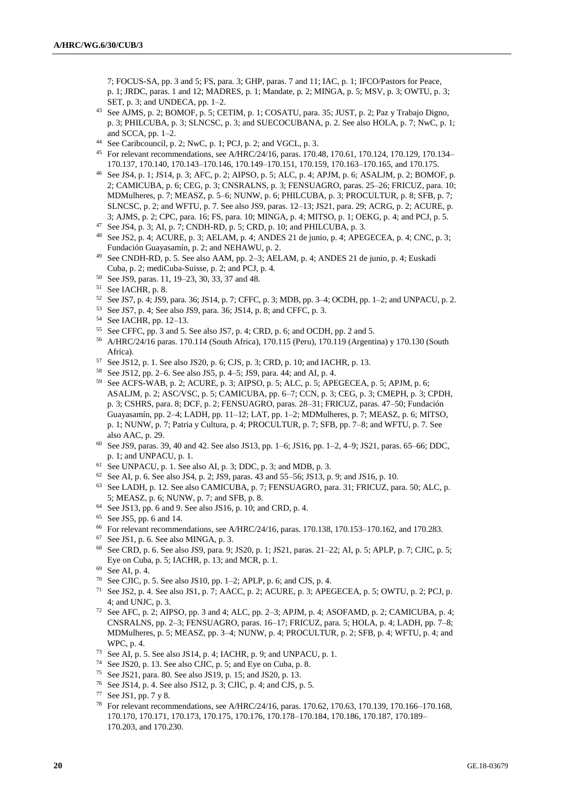7; FOCUS-SA, pp. 3 and 5; FS, para. 3; GHP, paras. 7 and 11; IAC, p. 1; IFCO/Pastors for Peace, p. 1; JRDC, paras. 1 and 12; MADRES, p. 1; Mandate, p. 2; MINGA, p. 5; MSV, p. 3; OWTU, p. 3; SET, p. 3; and UNDECA, pp. 1–2.

- <sup>43</sup> See AJMS, p. 2; BOMOF, p. 5; CETIM, p. 1; COSATU, para. 35; JUST, p. 2; Paz y Trabajo Digno, p. 3; PHILCUBA, p. 3; SLNCSC, p. 3; and SUECOCUBANA, p. 2. See also HOLA, p. 7; NwC, p. 1; and SCCA, pp. 1–2.
- <sup>44</sup> See Caribcouncil, p. 2; NwC, p. 1; PCJ, p. 2; and VGCL, p. 3.
- <sup>45</sup> For relevant recommendations, see A/HRC/24/16, paras. 170.48, 170.61, 170.124, 170.129, 170.134– 170.137, 170.140, 170.143–170.146, 170.149–170.151, 170.159, 170.163–170.165, and 170.175.
- <sup>46</sup> See JS4, p. 1; JS14, p. 3; AFC, p. 2; AIPSO, p. 5; ALC, p. 4; APJM, p. 6; ASALJM, p. 2; BOMOF, p. 2; CAMICUBA, p. 6; CEG, p. 3; CNSRALNS, p. 3; FENSUAGRO, paras. 25–26; FRICUZ, para. 10; MDMulheres, p. 7; MEASZ, p. 5–6; NUNW, p. 6; PHILCUBA, p. 3; PROCULTUR, p. 8; SFB, p. 7; SLNCSC, p. 2; and WFTU, p. 7. See also JS9, paras. 12–13; JS21, para. 29; ACRG, p. 2; ACURE, p. 3; AJMS, p. 2; CPC, para. 16; FS, para. 10; MINGA, p. 4; MITSO, p. 1; OEKG, p. 4; and PCJ, p. 5.
- <sup>47</sup> See JS4, p. 3; AI, p. 7; CNDH-RD, p. 5; CRD, p. 10; and PHILCUBA, p. 3.
- <sup>48</sup> See JS2, p. 4; ACURE, p. 3; AELAM, p. 4; ANDES 21 de junio, p. 4; APEGECEA, p. 4; CNC, p. 3; Fundación Guayasamín, p. 2; and NEHAWU, p. 2.
- <sup>49</sup> See CNDH-RD, p. 5. See also AAM, pp. 2–3; AELAM, p. 4; ANDES 21 de junio, p. 4; Euskadi Cuba, p. 2; mediCuba-Suisse, p. 2; and PCJ, p. 4.
- <sup>50</sup> See JS9, paras. 11, 19–23, 30, 33, 37 and 48.
- <sup>51</sup> See IACHR, p. 8.
- <sup>52</sup> See JS7, p. 4; JS9, para. 36; JS14, p. 7; CFFC, p. 3; MDB, pp. 3–4; OCDH, pp. 1–2; and UNPACU, p. 2.
- <sup>53</sup> See JS7, p. 4; See also JS9, para. 36; JS14, p. 8; and CFFC, p. 3.
- <sup>54</sup> See IACHR, pp. 12–13.
- 55 See CFFC, pp. 3 and 5. See also JS7, p. 4; CRD, p. 6; and OCDH, pp. 2 and 5.<br>56 A/HDC/24/16 pages 170, 114 (South Africa), 170, 115 (Peru), 170, 119 (Argenti
- <sup>56</sup> A/HRC/24/16 paras. 170.114 (South Africa), 170.115 (Peru), 170.119 (Argentina) y 170.130 (South Africa).
- <sup>57</sup> See JS12, p. 1. See also JS20, p. 6; CJS, p. 3; CRD, p. 10; and IACHR, p. 13.
- <sup>58</sup> See JS12, pp. 2–6. See also JS5, p. 4–5; JS9, para. 44; and AI, p. 4.
- <sup>59</sup> See ACFS-WAB, p. 2; ACURE, p. 3; AIPSO, p. 5; ALC, p. 5; APEGECEA, p. 5; APJM, p. 6; ASALJM, p. 2; ASC/VSC, p. 5; CAMICUBA, pp. 6–7; CCN, p. 3; CEG, p. 3; CMEPH, p. 3; CPDH, p. 3; CSHRS, para. 8; DCF, p. 2; FENSUAGRO, paras. 28–31; FRICUZ, paras. 47–50; Fundación Guayasamín, pp. 2–4; LADH, pp. 11–12; LAT, pp. 1–2; MDMulheres, p. 7; MEASZ, p. 6; MITSO, p. 1; NUNW, p. 7; Patria y Cultura, p. 4; PROCULTUR, p. 7; SFB, pp. 7–8; and WFTU, p. 7. See also AAC, p. 29.
- <sup>60</sup> See JS9, paras. 39, 40 and 42. See also JS13, pp. 1–6; JS16, pp. 1–2, 4–9; JS21, paras. 65–66; DDC, p. 1; and UNPACU, p. 1.
- $61$  See UNPACU, p. 1. See also AI, p. 3; DDC, p. 3; and MDB, p. 3.
- <sup>62</sup> See AI, p. 6. See also JS4, p. 2; JS9, paras. 43 and 55–56; JS13, p. 9; and JS16, p. 10.
- <sup>63</sup> See LADH, p. 12. See also CAMICUBA, p. 7; FENSUAGRO, para. 31; FRICUZ, para. 50; ALC, p. 5; MEASZ, p. 6; NUNW, p. 7; and SFB, p. 8.
- <sup>64</sup> See JS13, pp. 6 and 9. See also JS16, p. 10; and CRD, p. 4.
- <sup>65</sup> See JS5, pp. 6 and 14.
- <sup>66</sup> For relevant recommendations, see A/HRC/24/16, paras. 170.138, 170.153–170.162, and 170.283.
- $67$  See JS1, p. 6. See also MINGA, p. 3.
- <sup>68</sup> See CRD, p. 6. See also JS9, para. 9; JS20, p. 1; JS21, paras. 21–22; AI, p. 5; APLP, p. 7; CJIC, p. 5; Eye on Cuba, p. 5; IACHR, p. 13; and MCR, p. 1.
- <sup>69</sup> See AI, p. 4.
- <sup>70</sup> See CJIC, p. 5. See also JS10, pp. 1–2; APLP, p. 6; and CJS, p. 4.
- <sup>71</sup> See JS2, p. 4. See also JS1, p. 7; AACC, p. 2; ACURE, p. 3; APEGECEA, p. 5; OWTU, p. 2; PCJ, p. 4; and UNJC, p. 3.
- <sup>72</sup> See AFC, p. 2; AIPSO, pp. 3 and 4; ALC, pp. 2–3; APJM, p. 4; ASOFAMD, p. 2; CAMICUBA, p. 4; CNSRALNS, pp. 2–3; FENSUAGRO, paras. 16–17; FRICUZ, para. 5; HOLA, p. 4; LADH, pp. 7–8; MDMulheres, p. 5; MEASZ, pp. 3–4; NUNW, p. 4; PROCULTUR, p. 2; SFB, p. 4; WFTU, p. 4; and WPC, p. 4.
- <sup>73</sup> See AI, p. 5. See also JS14, p. 4; IACHR, p. 9; and UNPACU, p. 1.
- <sup>74</sup> See JS20, p. 13. See also CJIC, p. 5; and Eye on Cuba, p. 8.
- <sup>75</sup> See JS21, para. 80. See also JS19, p. 15; and JS20, p. 13.
- <sup>76</sup> See JS14, p. 4. See also JS12, p. 3; CJIC, p. 4; and CJS, p. 5.
- <sup>77</sup> See JS1, pp. 7 y 8.
- <sup>78</sup> For relevant recommendations, see A/HRC/24/16, paras. 170.62, 170.63, 170.139, 170.166–170.168, 170.170, 170.171, 170.173, 170.175, 170.176, 170.178–170.184, 170.186, 170.187, 170.189– 170.203, and 170.230.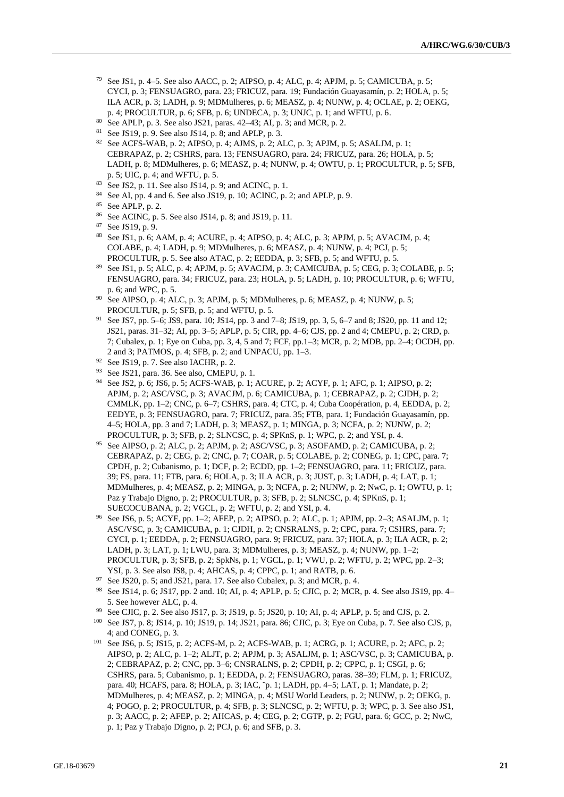- <sup>79</sup> See JS1, p. 4–5. See also AACC, p. 2; AIPSO, p. 4; ALC, p. 4; APJM, p. 5; CAMICUBA, p. 5; CYCI, p. 3; FENSUAGRO, para. 23; FRICUZ, para. 19; Fundación Guayasamín, p. 2; HOLA, p. 5; ILA ACR, p. 3; LADH, p. 9; MDMulheres, p. 6; MEASZ, p. 4; NUNW, p. 4; OCLAE, p. 2; OEKG, p. 4; PROCULTUR, p. 6; SFB, p. 6; UNDECA, p. 3; UNJC, p. 1; and WFTU, p. 6.
- <sup>80</sup> See APLP, p. 3. See also JS21, paras. 42–43; AI, p. 3; and MCR, p. 2.
- <sup>81</sup> See JS19, p. 9. See also JS14, p. 8; and APLP, p. 3.
- <sup>82</sup> See ACFS-WAB, p. 2; AIPSO, p. 4; AJMS, p. 2; ALC, p. 3; APJM, p. 5; ASALJM, p. 1; CEBRAPAZ, p. 2; CSHRS, para. 13; FENSUAGRO, para. 24; FRICUZ, para. 26; HOLA, p. 5; LADH, p. 8; MDMulheres, p. 6; MEASZ, p. 4; NUNW, p. 4; OWTU, p. 1; PROCULTUR, p. 5; SFB, p. 5; UIC, p. 4; and WFTU, p. 5.
- $83$  See JS2, p. 11. See also JS14, p. 9; and ACINC, p. 1.
- <sup>84</sup> See AI, pp. 4 and 6. See also JS19, p. 10; ACINC, p. 2; and APLP, p. 9.
- <sup>85</sup> See APLP, p. 2.
- <sup>86</sup> See ACINC, p. 5. See also JS14, p. 8; and JS19, p. 11.
- <sup>87</sup> See JS19, p. 9.
- <sup>88</sup> See JS1, p. 6; AAM, p. 4; ACURE, p. 4; AIPSO, p. 4; ALC, p. 3; APJM, p. 5; AVACJM, p. 4; COLABE, p. 4; LADH, p. 9; MDMulheres, p. 6; MEASZ, p. 4; NUNW, p. 4; PCJ, p. 5; PROCULTUR, p. 5. See also ATAC, p. 2; EEDDA, p. 3; SFB, p. 5; and WFTU, p. 5.
- <sup>89</sup> See JS1, p. 5; ALC, p. 4; APJM, p. 5; AVACJM, p. 3; CAMICUBA, p. 5; CEG, p. 3; COLABE, p. 5; FENSUAGRO, para. 34; FRICUZ, para. 23; HOLA, p. 5; LADH, p. 10; PROCULTUR, p. 6; WFTU, p. 6; and WPC, p. 5.
- $90$  See AIPSO, p. 4; ALC, p. 3; APJM, p. 5; MDMulheres, p. 6; MEASZ, p. 4; NUNW, p. 5; PROCULTUR, p. 5; SFB, p. 5; and WFTU, p. 5.
- <sup>91</sup> See JS7, pp. 5–6; JS9, para. 10; JS14, pp. 3 and 7–8; JS19, pp. 3, 5, 6–7 and 8; JS20, pp. 11 and 12; JS21, paras. 31–32; AI, pp. 3–5; APLP, p. 5; CIR, pp. 4–6; CJS, pp. 2 and 4; CMEPU, p. 2; CRD, p. 7; Cubalex, p. 1; Eye on Cuba, pp. 3, 4, 5 and 7; FCF, pp.1–3; MCR, p. 2; MDB, pp. 2–4; OCDH, pp. 2 and 3; PATMOS, p. 4; SFB, p. 2; and UNPACU, pp. 1–3.
- $92$  See JS19, p. 7. See also IACHR, p. 2.
- <sup>93</sup> See JS21, para. 36. See also, CMEPU, p. 1.
- <sup>94</sup> See JS2, p. 6; JS6, p. 5; ACFS-WAB, p. 1; ACURE, p. 2; ACYF, p. 1; AFC, p. 1; AIPSO, p. 2; APJM, p. 2; ASC/VSC, p. 3; AVACJM, p. 6; CAMICUBA, p. 1; CEBRAPAZ, p. 2; CJDH, p. 2; CMMLK, pp. 1–2; CNC, p. 6–7; CSHRS, para. 4; CTC, p. 4; Cuba Coopération, p. 4, EEDDA, p. 2; EEDYE, p. 3; FENSUAGRO, para. 7; FRICUZ, para. 35; FTB, para. 1; Fundación Guayasamín, pp. 4–5; HOLA, pp. 3 and 7; LADH, p. 3; MEASZ, p. 1; MINGA, p. 3; NCFA, p. 2; NUNW, p. 2; PROCULTUR, p. 3; SFB, p. 2; SLNCSC, p. 4; SPKnS, p. 1; WPC, p. 2; and YSI, p. 4.
- <sup>95</sup> See AIPSO, p. 2; ALC, p. 2; APJM, p. 2; ASC/VSC, p. 3; ASOFAMD, p. 2; CAMICUBA, p. 2; CEBRAPAZ, p. 2; CEG, p. 2; CNC, p. 7; COAR, p. 5; COLABE, p. 2; CONEG, p. 1; CPC, para. 7; CPDH, p. 2; Cubanismo, p. 1; DCF, p. 2; ECDD, pp. 1–2; FENSUAGRO, para. 11; FRICUZ, para. 39; FS, para. 11; FTB, para. 6; HOLA, p. 3; ILA ACR, p. 3; JUST, p. 3; LADH, p. 4; LAT, p. 1; MDMulheres, p. 4; MEASZ, p. 2; MINGA, p. 3; NCFA, p. 2; NUNW, p. 2; NwC, p. 1; OWTU, p. 1; Paz y Trabajo Digno, p. 2; PROCULTUR, p. 3; SFB, p. 2; SLNCSC, p. 4; SPKnS, p. 1; SUECOCUBANA, p. 2; VGCL, p. 2; WFTU, p. 2; and YSI, p. 4.
- <sup>96</sup> See JS6, p. 5; ACYF, pp. 1–2; AFEP, p. 2; AIPSO, p. 2; ALC, p. 1; APJM, pp. 2–3; ASALJM, p. 1; ASC/VSC, p. 3; CAMICUBA, p. 1; CJDH, p. 2; CNSRALNS, p. 2; CPC, para. 7; CSHRS, para. 7; CYCI, p. 1; EEDDA, p. 2; FENSUAGRO, para. 9; FRICUZ, para. 37; HOLA, p. 3; ILA ACR, p. 2; LADH, p. 3; LAT, p. 1; LWU, para. 3; MDMulheres, p. 3; MEASZ, p. 4; NUNW, pp. 1–2; PROCULTUR, p. 3; SFB, p. 2; SpkNs, p. 1; VGCL, p. 1; VWU, p. 2; WFTU, p. 2; WPC, pp. 2–3; YSI, p. 3. See also JS8, p. 4; AHCAS, p. 4; CPPC, p. 1; and RATB, p. 6.
- <sup>97</sup> See JS20, p. 5; and JS21, para. 17. See also Cubalex, p. 3; and MCR, p. 4.
- <sup>98</sup> See JS14, p. 6; JS17, pp. 2 and. 10; AI, p. 4; APLP, p. 5; CJIC, p. 2; MCR, p. 4. See also JS19, pp. 4– 5. See however ALC, p. 4.
- <sup>99</sup> See CJIC, p. 2. See also JS17, p. 3; JS19, p. 5; JS20, p. 10; AI, p. 4; APLP, p. 5; and CJS, p. 2.
- <sup>100</sup> See JS7, p. 8; JS14, p. 10; JS19, p. 14; JS21, para. 86; CJIC, p. 3; Eye on Cuba, p. 7. See also CJS, p, 4; and CONEG, p. 3.
- <sup>101</sup> See JS6, p. 5; JS15, p. 2; ACFS-M, p. 2; ACFS-WAB, p. 1; ACRG, p. 1; ACURE, p. 2; AFC, p. 2; AIPSO, p. 2; ALC, p. 1–2; ALJT, p. 2; APJM, p. 3; ASALJM, p. 1; ASC/VSC, p. 3; CAMICUBA, p. 2; CEBRAPAZ, p. 2; CNC, pp. 3–6; CNSRALNS, p. 2; CPDH, p. 2; CPPC, p. 1; CSGI, p. 6; CSHRS, para. 5; Cubanismo, p. 1; EEDDA, p. 2; FENSUAGRO, paras. 38–39; FLM, p. 1; FRICUZ, para. 40; HCAFS, para. 8; HOLA, p. 3; IAC, ¨p. 1; LADH, pp. 4–5; LAT, p. 1; Mandate, p. 2; MDMulheres, p. 4; MEASZ, p. 2; MINGA, p. 4; MSU World Leaders, p. 2; NUNW, p. 2; OEKG, p. 4; POGO, p. 2; PROCULTUR, p. 4; SFB, p. 3; SLNCSC, p. 2; WFTU, p. 3; WPC, p. 3. See also JS1, p. 3; AACC, p. 2; AFEP, p. 2; AHCAS, p. 4; CEG, p. 2; CGTP, p. 2; FGU, para. 6; GCC, p. 2; NwC, p. 1; Paz y Trabajo Digno, p. 2; PCJ, p. 6; and SFB, p. 3.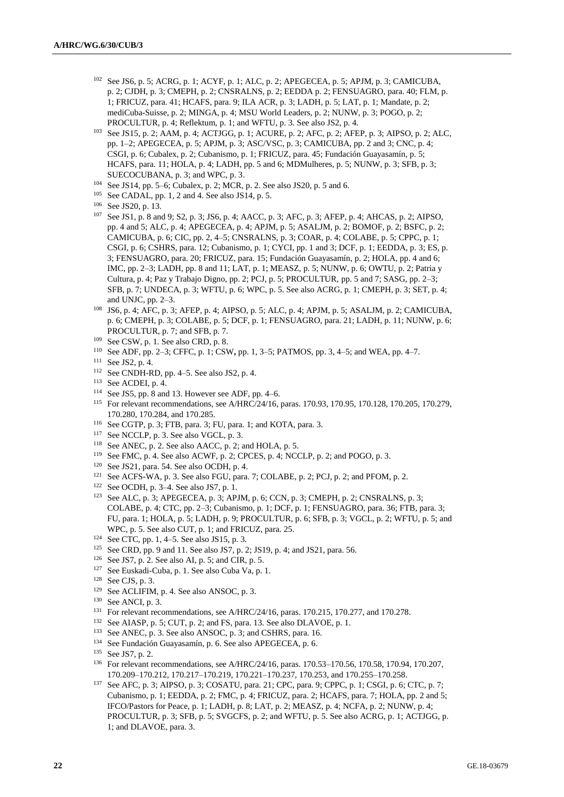- <sup>102</sup> See JS6, p. 5; ACRG, p. 1; ACYF, p. 1; ALC, p. 2; APEGECEA, p. 5; APJM, p. 3; CAMICUBA, p. 2; CJDH, p. 3; CMEPH, p. 2; CNSRALNS, p. 2; EEDDA p. 2; FENSUAGRO, para. 40; FLM, p. 1; FRICUZ, para. 41; HCAFS, para. 9; ILA ACR, p. 3; LADH, p. 5; LAT, p. 1; Mandate, p. 2; mediCuba-Suisse, p. 2; MINGA, p. 4; MSU World Leaders, p. 2; NUNW, p. 3; POGO, p. 2; PROCULTUR, p. 4; Reflektum, p. 1; and WFTU, p. 3. See also JS2, p. 4.
- <sup>103</sup> See JS15, p. 2; AAM, p. 4; ACTJGG, p. 1; ACURE, p. 2; AFC, p. 2; AFEP, p. 3; AIPSO, p. 2; ALC, pp. 1–2; APEGECEA, p. 5; APJM, p. 3; ASC/VSC, p. 3; CAMICUBA, pp. 2 and 3; CNC, p. 4; CSGI, p. 6; Cubalex, p. 2; Cubanismo, p. 1; FRICUZ, para. 45; Fundación Guayasamín, p. 5; HCAFS, para. 11; HOLA, p. 4; LADH, pp. 5 and 6; MDMulheres, p. 5; NUNW, p. 3; SFB, p. 3; SUECOCUBANA, p. 3; and WPC, p. 3.
- <sup>104</sup> See JS14, pp. 5–6; Cubalex, p. 2; MCR, p. 2. See also JS20, p. 5 and 6.
- <sup>105</sup> See CADAL, pp. 1, 2 and 4. See also JS14, p. 5.
- <sup>106</sup> See JS20, p. 13.
- <sup>107</sup> See JS1, p. 8 and 9; S2, p. 3; JS6, p. 4; AACC, p. 3; AFC, p. 3; AFEP, p. 4; AHCAS, p. 2; AIPSO, pp. 4 and 5; ALC, p. 4; APEGECEA, p. 4; APJM, p. 5; ASALJM, p. 2; BOMOF, p. 2; BSFC, p. 2; CAMICUBA, p. 6; CIC, pp. 2, 4–5; CNSRALNS, p. 3; COAR, p. 4; COLABE, p. 5; CPPC, p. 1; CSGI, p. 6; CSHRS, para. 12; Cubanismo, p. 1; CYCI, pp. 1 and 3; DCF, p. 1; EEDDA, p. 3; ES, p. 3; FENSUAGRO, para. 20; FRICUZ, para. 15; Fundación Guayasamín, p. 2; HOLA, pp. 4 and 6; IMC, pp. 2–3; LADH, pp. 8 and 11; LAT, p. 1; MEASZ, p. 5; NUNW, p. 6; OWTU, p. 2; Patria y Cultura, p. 4; Paz y Trabajo Digno, pp. 2; PCJ, p. 5; PROCULTUR, pp. 5 and 7; SASG, pp. 2–3; SFB, p. 7; UNDECA, p. 3; WFTU, p. 6; WPC, p. 5. See also ACRG, p. 1; CMEPH, p. 3; SET, p. 4; and UNJC, pp. 2–3.
- <sup>108</sup> JS6, p. 4; AFC, p. 3; AFEP, p. 4; AIPSO, p. 5; ALC, p. 4; APJM, p. 5; ASALJM, p. 2; CAMICUBA, p. 6; CMEPH, p. 3; COLABE, p. 5; DCF, p. 1; FENSUAGRO, para. 21; LADH, p. 11; NUNW, p. 6; PROCULTUR, p. 7; and SFB, p. 7.
- <sup>109</sup> See CSW, p. 1. See also CRD, p. 8.
- <sup>110</sup> See ADF, pp. 2–3; CFFC, p. 1; CSW**,** pp. 1, 3–5; PATMOS, pp. 3, 4–5; and WEA, pp. 4–7.
- <sup>111</sup> See JS2, p. 4.
- $112$  See CNDH-RD, pp. 4–5. See also JS2, p. 4.
- <sup>113</sup> See ACDEI, p. 4.
- <sup>114</sup> See JS5, pp. 8 and 13. However see ADF, pp. 4–6.
- <sup>115</sup> For relevant recommendations, see A/HRC/24/16, paras. 170.93, 170.95, 170.128, 170.205, 170.279, 170.280, 170.284, and 170.285.
- <sup>116</sup> See CGTP, p. 3; FTB, para. 3; FU, para. 1; and KOTA, para. 3.
- <sup>117</sup> See NCCLP, p. 3. See also VGCL, p. 3.
- <sup>118</sup> See ANEC, p. 2. See also AACC, p. 2; and HOLA, p. 5.
- <sup>119</sup> See FMC, p. 4. See also ACWF, p. 2; CPCES, p. 4; NCCLP, p. 2; and POGO, p. 3.
- <sup>120</sup> See JS21, para. 54. See also OCDH, p. 4.
- <sup>121</sup> See ACFS-WA, p. 3. See also FGU, para. 7; COLABE, p. 2; PCJ, p. 2; and PFOM, p. 2.
- <sup>122</sup> See OCDH, p. 3–4. See also JS7, p. 1.
- <sup>123</sup> See ALC, p. 3; APEGECEA, p. 3; APJM, p. 6; CCN, p. 3; CMEPH, p. 2; CNSRALNS, p. 3; COLABE, p. 4; CTC, pp. 2–3; Cubanismo, p. 1; DCF, p. 1; FENSUAGRO, para. 36; FTB, para. 3; FU, para. 1; HOLA, p. 5; LADH, p. 9; PROCULTUR, p. 6; SFB, p. 3; VGCL, p. 2; WFTU, p. 5; and WPC, p. 5. See also CUT, p. 1; and FRICUZ, para. 25.
- <sup>124</sup> See CTC, pp. 1, 4–5. See also JS15, p. 3.
- <sup>125</sup> See CRD, pp. 9 and 11. See also JS7, p. 2; JS19, p. 4; and JS21, para. 56.
- <sup>126</sup> See JS7, p. 2. See also AI, p. 5; and CIR, p. 5.
- <sup>127</sup> See Euskadi-Cuba, p. 1. See also Cuba Va, p. 1.
- <sup>128</sup> See CJS, p. 3.
- <sup>129</sup> See ACLIFIM, p. 4. See also ANSOC, p. 3.
- <sup>130</sup> See ANCI, p. 3.
- <sup>131</sup> For relevant recommendations, see A/HRC/24/16, paras. 170.215, 170.277, and 170.278.
- <sup>132</sup> See AIASP, p. 5; CUT, p. 2; and FS, para. 13. See also DLAVOE, p. 1.
- <sup>133</sup> See ANEC, p. 3. See also ANSOC, p. 3; and CSHRS, para. 16.
- <sup>134</sup> See Fundación Guayasamín, p. 6. See also APEGECEA, p. 6.
- <sup>135</sup> See JS7, p. 2.
- <sup>136</sup> For relevant recommendations, see A/HRC/24/16, paras. 170.53–170.56, 170.58, 170.94, 170.207, 170.209–170.212, 170.217–170.219, 170.221–170.237, 170.253, and 170.255–170.258.
- <sup>137</sup> See AFC, p. 3; AIPSO, p. 3; COSATU, para. 21; CPC, para. 9; CPPC, p. 1; CSGI, p. 6; CTC, p. 7; Cubanismo, p. 1; EEDDA, p. 2; FMC, p. 4; FRICUZ, para. 2; HCAFS, para. 7; HOLA, pp. 2 and 5; IFCO/Pastors for Peace, p. 1; LADH, p. 8; LAT, p. 2; MEASZ, p. 4; NCFA, p. 2; NUNW, p. 4; PROCULTUR, p. 3; SFB, p. 5; SVGCFS, p. 2; and WFTU, p. 5. See also ACRG, p. 1; ACTJGG, p. 1; and DLAVOE, para. 3.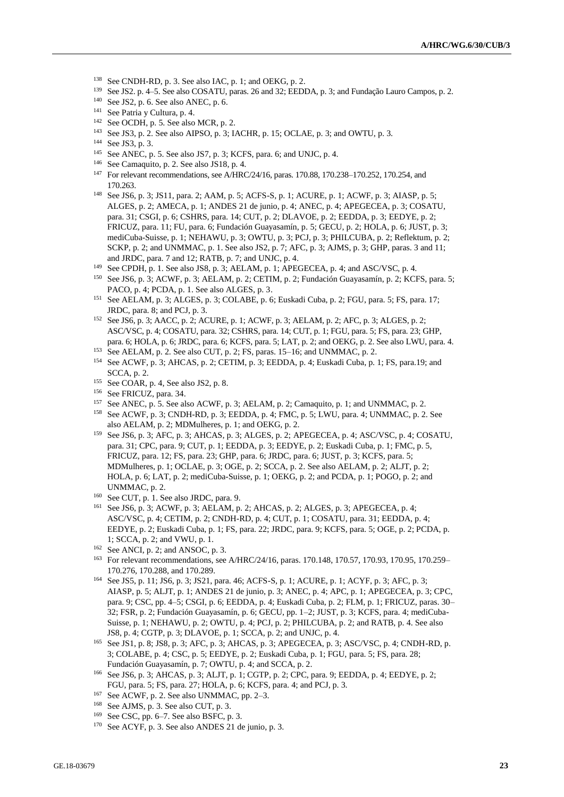- <sup>138</sup> See CNDH-RD, p. 3. See also IAC, p. 1; and OEKG, p. 2.
- <sup>139</sup> See JS2. p. 4–5. See also COSATU, paras. 26 and 32; EEDDA, p. 3; and Fundação Lauro Campos, p. 2.
- <sup>140</sup> See JS2, p. 6. See also ANEC, p. 6.
- <sup>141</sup> See Patria y Cultura, p. 4.
- $142$  See OCDH, p. 5. See also MCR, p. 2.
- <sup>143</sup> See JS3, p. 2. See also AIPSO, p. 3; IACHR, p. 15; OCLAE, p. 3; and OWTU, p. 3.

- <sup>145</sup> See ANEC, p. 5. See also JS7, p. 3; KCFS, para. 6; and UNJC, p. 4.
- <sup>146</sup> See Camaquito, p. 2. See also JS18, p. 4.
- <sup>147</sup> For relevant recommendations, see A/HRC/24/16, paras. 170.88, 170.238–170.252, 170.254, and 170.263.
- <sup>148</sup> See JS6, p. 3; JS11, para. 2; AAM, p. 5; ACFS-S, p. 1; ACURE, p. 1; ACWF, p. 3; AIASP, p. 5; ALGES, p. 2; AMECA, p. 1; ANDES 21 de junio, p. 4; ANEC, p. 4; APEGECEA, p. 3; COSATU, para. 31; CSGI, p. 6; CSHRS, para. 14; CUT, p. 2; DLAVOE, p. 2; EEDDA, p. 3; EEDYE, p. 2; FRICUZ, para. 11; FU, para. 6; Fundación Guayasamín, p. 5; GECU, p. 2; HOLA, p. 6; JUST, p. 3; mediCuba-Suisse, p. 1; NEHAWU, p. 3; OWTU, p. 3; PCJ, p. 3; PHILCUBA, p. 2; Reflektum, p. 2; SCKP, p. 2; and UNMMAC, p. 1. See also JS2, p. 7; AFC, p. 3; AJMS, p. 3; GHP, paras. 3 and 11; and JRDC, para. 7 and 12; RATB, p. 7; and UNJC, p. 4.
- <sup>149</sup> See CPDH, p. 1. See also JS8, p. 3; AELAM, p. 1; APEGECEA, p. 4; and ASC/VSC, p. 4.
- <sup>150</sup> See JS6, p. 3; ACWF, p. 3; AELAM, p. 2; CETIM, p. 2; Fundación Guayasamín, p. 2; KCFS, para. 5; PACO, p. 4; PCDA, p. 1. See also ALGES, p. 3.
- <sup>151</sup> See AELAM, p. 3; ALGES, p. 3; COLABE, p. 6; Euskadi Cuba, p. 2; FGU, para. 5; FS, para. 17; JRDC, para. 8; and PCJ, p. 3.
- <sup>152</sup> See JS6, p. 3; AACC, p. 2; ACURE, p. 1; ACWF, p. 3; AELAM, p. 2; AFC, p. 3; ALGES, p. 2; ASC/VSC, p. 4; COSATU, para. 32; CSHRS, para. 14; CUT, p. 1; FGU, para. 5; FS, para. 23; GHP, para. 6; HOLA, p. 6; JRDC, para. 6; KCFS, para. 5; LAT, p. 2; and OEKG, p. 2. See also LWU, para. 4.
- <sup>153</sup> See AELAM, p. 2. See also CUT, p. 2; FS, paras. 15–16; and UNMMAC, p. 2.
- <sup>154</sup> See ACWF, p. 3; AHCAS, p. 2; CETIM, p. 3; EEDDA, p. 4; Euskadi Cuba, p. 1; FS, para.19; and SCCA, p. 2.
- <sup>155</sup> See COAR, p. 4, See also JS2, p. 8.
- <sup>156</sup> See FRICUZ, para. 34.
- <sup>157</sup> See ANEC, p. 5. See also ACWF, p. 3; AELAM, p. 2; Camaquito, p. 1; and UNMMAC, p. 2.
- <sup>158</sup> See ACWF, p. 3; CNDH-RD, p. 3; EEDDA, p. 4; FMC, p. 5; LWU, para. 4; UNMMAC, p. 2. See also AELAM, p. 2; MDMulheres, p. 1; and OEKG, p. 2.
- <sup>159</sup> See JS6, p. 3; AFC, p. 3; AHCAS, p. 3; ALGES, p. 2; APEGECEA, p. 4; ASC/VSC, p. 4; COSATU, para. 31; CPC, para. 9; CUT, p. 1; EEDDA, p. 3; EEDYE, p. 2; Euskadi Cuba, p. 1; FMC, p. 5, FRICUZ, para. 12; FS, para. 23; GHP, para. 6; JRDC, para. 6; JUST, p. 3; KCFS, para. 5; MDMulheres, p. 1; OCLAE, p. 3; OGE, p. 2; SCCA, p. 2. See also AELAM, p. 2; ALJT, p. 2; HOLA, p. 6; LAT, p. 2; mediCuba-Suisse, p. 1; OEKG, p. 2; and PCDA, p. 1; POGO, p. 2; and UNMMAC, p. 2.
- <sup>160</sup> See CUT, p. 1. See also JRDC, para. 9.
- <sup>161</sup> See JS6, p. 3; ACWF, p. 3; AELAM, p. 2; AHCAS, p. 2; ALGES, p. 3; APEGECEA, p. 4; ASC/VSC, p. 4; CETIM, p. 2; CNDH-RD, p. 4; CUT, p. 1; COSATU, para. 31; EEDDA, p. 4; EEDYE, p. 2; Euskadi Cuba, p. 1; FS, para. 22; JRDC, para. 9; KCFS, para. 5; OGE, p. 2; PCDA, p. 1; SCCA, p. 2; and VWU, p. 1.
- <sup>162</sup> See ANCI, p. 2; and ANSOC, p. 3.
- <sup>163</sup> For relevant recommendations, see A/HRC/24/16, paras. 170.148, 170.57, 170.93, 170.95, 170.259– 170.276, 170.288, and 170.289.
- <sup>164</sup> See JS5, p. 11; JS6, p. 3; JS21, para. 46; ACFS-S, p. 1; ACURE, p. 1; ACYF, p. 3; AFC, p. 3; AIASP, p. 5; ALJT, p. 1; ANDES 21 de junio, p. 3; ANEC, p. 4; APC, p. 1; APEGECEA, p. 3; CPC, para. 9; CSC, pp. 4–5; CSGI, p. 6; EEDDA, p. 4; Euskadi Cuba, p. 2; FLM, p. 1; FRICUZ, paras. 30– 32; FSR, p. 2; Fundación Guayasamín, p. 6; GECU, pp. 1–2; JUST, p. 3; KCFS, para. 4; mediCuba-Suisse, p. 1; NEHAWU, p. 2; OWTU, p. 4; PCJ, p. 2; PHILCUBA, p. 2; and RATB, p. 4. See also JS8, p. 4; CGTP, p. 3; DLAVOE, p. 1; SCCA, p. 2; and UNJC, p. 4.
- <sup>165</sup> See JS1, p. 8; JS8, p. 3; AFC, p. 3; AHCAS, p. 3; APEGECEA, p. 3; ASC/VSC, p. 4; CNDH-RD, p. 3; COLABE, p. 4; CSC, p. 5; EEDYE, p. 2; Euskadi Cuba, p. 1; FGU, para. 5; FS, para. 28; Fundación Guayasamín, p. 7; OWTU, p. 4; and SCCA, p. 2.
- <sup>166</sup> See JS6, p. 3; AHCAS, p. 3; ALJT, p. 1; CGTP, p. 2; CPC, para. 9; EEDDA, p. 4; EEDYE, p. 2; FGU, para. 5; FS, para. 27; HOLA, p. 6; KCFS, para. 4; and PCJ, p. 3.
- <sup>167</sup> See ACWF, p. 2. See also UNMMAC, pp. 2–3.
- <sup>168</sup> See AJMS, p. 3. See also CUT, p. 3.
- <sup>169</sup> See CSC, pp. 6–7. See also BSFC, p. 3.
- <sup>170</sup> See ACYF, p. 3. See also ANDES 21 de junio, p. 3.

<sup>144</sup> See JS3, p. 3.